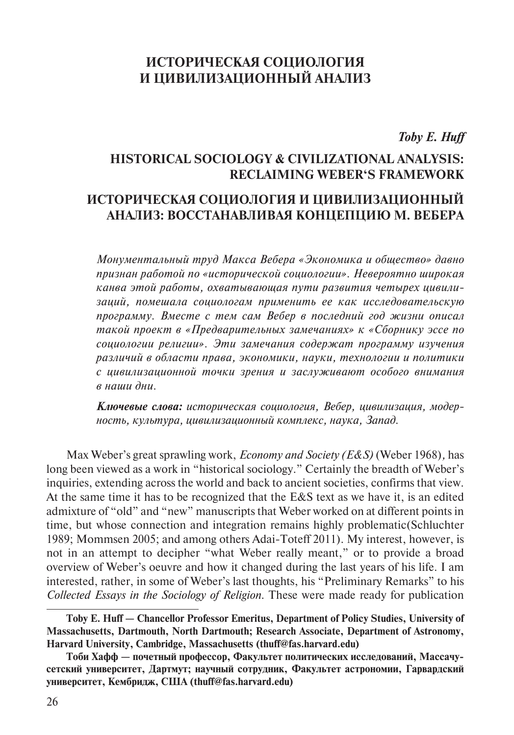# **ИСТОРИЧЕСКАЯ СОЦИОЛОГИЯ И ЦИВИЛИЗАЦИОННЫЙ АНАЛИЗ**

*Toby E. Huff*

## **HISTORICAL SOCIOLOGY & CIVILIZATIONAL ANALYSIS: RECLAIMING WEBER'S FRAMEWORK**

## **ИСТОРИЧЕСКАЯ СОЦИОЛОГИЯ И ЦИВИЛИЗАЦИОННЫЙ АНАЛИЗ: ВОССТАНАВЛИВАЯ КОНЦЕПЦИЮ М. ВЕБЕРА**

*Монументальный труд Макса Вебера «Экономика и общество» давно признан работой по «исторической социологии». Невероятно широкая канва этой работы, охватывающая пути развития четырех цивилизаций, помешала социологам применить ее как исследовательскую программу. Вместе с тем сам Вебер в последний год жизни описал такой проект в «Предварительных замечаниях» к «Сборнику эссе по социологии религии». Эти замечания содержат программу изучения различий в области права, экономики, науки, технологии и политики с цивилизационной точки зрения и заслуживают особого внимания в наши дни.*

*Ключевые слова: историческая социология, Вебер, цивилизация, модерность, культура, цивилизационный комплекс, наука, Запад.*

Max Weber's great sprawling work, *Economy and Society (E&S)* (Weber 1968)*,* has long been viewed as a work in "historical sociology." Certainly the breadth of Weber's inquiries, extending across the world and back to ancient societies, confirms that view. At the same time it has to be recognized that the E&S text as we have it, is an edited admixture of "old" and "new" manuscripts that Weber worked on at different points in time, but whose connection and integration remains highly problematic(Schluchter 1989; Mommsen 2005; and among others Adai-Toteff 2011). My interest, however, is not in an attempt to decipher "what Weber really meant," or to provide a broad overview of Weber's oeuvre and how it changed during the last years of his life. I am interested, rather, in some of Weber's last thoughts, his "Preliminary Remarks" to his *Collected Essays in the Sociology of Religion.* These were made ready for publication

**Toby E. Huff — Chancellor Professor Emeritus, Department of Policy Studies, University of Massachusetts, Dartmouth, North Dartmouth; Research Associate, Department of Astronomy, Harvard University, Cambridge, Massachusetts (thuff@fas.harvard.edu)**

**Тоби Хафф — почетный профессор, Факультет политических исследований, Массачусетский университет, Дартмут; научный сотрудник, Факультет астрономии, Гарвардский университет, Кембридж, США (thuff@fas.harvard.edu)**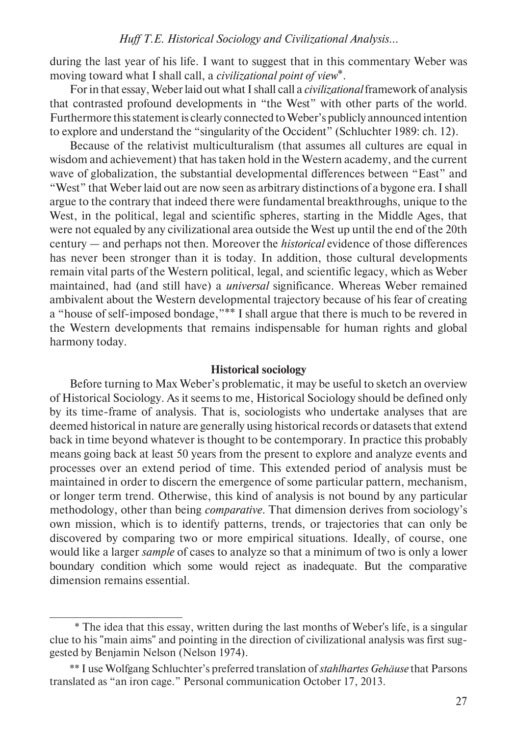during the last year of his life. I want to suggest that in this commentary Weber was moving toward what I shall call, a *civilizational point of view*\*.

For in that essay, Weber laid out what I shall call a *civilizational* framework of analysis that contrasted profound developments in "the West" with other parts of the world. Furthermore this statement is clearly connected to Weber's publicly announced intention to explore and understand the "singularity of the Occident" (Schluchter 1989: ch. 12).

Because of the relativist multiculturalism (that assumes all cultures are equal in wisdom and achievement) that has taken hold in the Western academy, and the current wave of globalization, the substantial developmental differences between "East" and "West" that Weber laid out are now seen as arbitrary distinctions of a bygone era. I shall argue to the contrary that indeed there were fundamental breakthroughs, unique to the West, in the political, legal and scientific spheres, starting in the Middle Ages, that were not equaled by any civilizational area outside the West up until the end of the 20th century — and perhaps not then. Moreover the *historical* evidence of those differences has never been stronger than it is today. In addition, those cultural developments remain vital parts of the Western political, legal, and scientific legacy, which as Weber maintained, had (and still have) a *universal* significance. Whereas Weber remained ambivalent about the Western developmental trajectory because of his fear of creating a "house of self-imposed bondage,"\*\* I shall argue that there is much to be revered in the Western developments that remains indispensable for human rights and global harmony today.

## **Historical sociology**

Before turning to Max Weber's problematic, it may be useful to sketch an overview of Historical Sociology. As it seems to me, Historical Sociology should be defined only by its time-frame of analysis. That is, sociologists who undertake analyses that are deemed historical in nature are generally using historical records or datasets that extend back in time beyond whatever is thought to be contemporary. In practice this probably means going back at least 50 years from the present to explore and analyze events and processes over an extend period of time. This extended period of analysis must be maintained in order to discern the emergence of some particular pattern, mechanism, or longer term trend. Otherwise, this kind of analysis is not bound by any particular methodology, other than being *comparative.* That dimension derives from sociology's own mission, which is to identify patterns, trends, or trajectories that can only be discovered by comparing two or more empirical situations. Ideally, of course, one would like a larger *sample* of cases to analyze so that a minimum of two is only a lower boundary condition which some would reject as inadequate. But the comparative dimension remains essential.

<sup>\*</sup> The idea that this essay, written during the last months of Weber's life, is a singular clue to his "main aims" and pointing in the direction of civilizational analysis was first suggested by Benjamin Nelson (Nelson 1974).

<sup>\*\*</sup> I use Wolfgang Schluchter's preferred translation of *stahlhartes Gehäuse* that Parsons translated as "an iron cage." Personal communication October 17, 2013.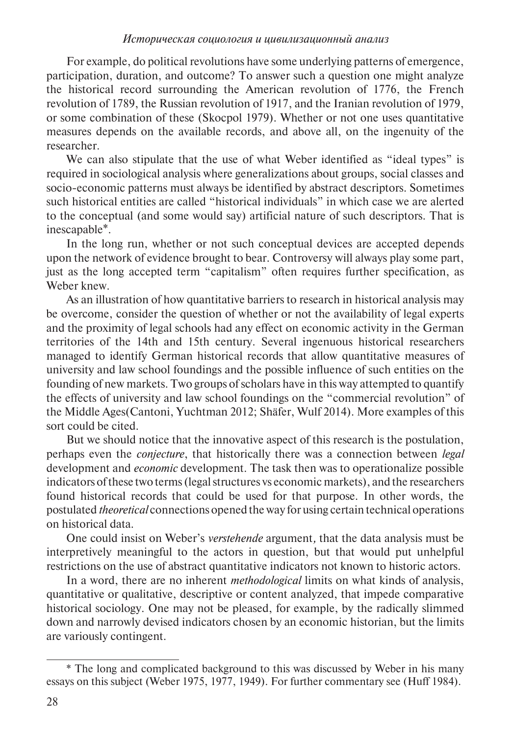For example, do political revolutions have some underlying patterns of emergence, participation, duration, and outcome? To answer such a question one might analyze the historical record surrounding the American revolution of 1776, the French revolution of 1789, the Russian revolution of 1917, and the Iranian revolution of 1979, or some combination of these (Skocpol 1979). Whether or not one uses quantitative measures depends on the available records, and above all, on the ingenuity of the researcher.

We can also stipulate that the use of what Weber identified as "ideal types" is required in sociological analysis where generalizations about groups, social classes and socio-economic patterns must always be identified by abstract descriptors. Sometimes such historical entities are called "historical individuals" in which case we are alerted to the conceptual (and some would say) artificial nature of such descriptors. That is inescapable\*.

In the long run, whether or not such conceptual devices are accepted depends upon the network of evidence brought to bear. Controversy will always play some part, just as the long accepted term "capitalism" often requires further specification, as Weber knew.

As an illustration of how quantitative barriers to research in historical analysis may be overcome, consider the question of whether or not the availability of legal experts and the proximity of legal schools had any effect on economic activity in the German territories of the 14th and 15th century. Several ingenuous historical researchers managed to identify German historical records that allow quantitative measures of university and law school foundings and the possible influence of such entities on the founding of new markets. Two groups of scholars have in this way attempted to quantify the effects of university and law school foundings on the "commercial revolution" of the Middle Ages(Cantoni, Yuchtman 2012; Shäfer, Wulf 2014). More examples of this sort could be cited.

But we should notice that the innovative aspect of this research is the postulation, perhaps even the *conjecture*, that historically there was a connection between *legal*  development and *economic* development. The task then was to operationalize possible indicators of these two terms (legal structures vs economic markets), and the researchers found historical records that could be used for that purpose. In other words, the postulated *theoretical* connections opened the way for using certain technical operations on historical data.

One could insist on Weber's *verstehende* argument*,* that the data analysis must be interpretively meaningful to the actors in question, but that would put unhelpful restrictions on the use of abstract quantitative indicators not known to historic actors.

In a word, there are no inherent *methodological* limits on what kinds of analysis, quantitative or qualitative, descriptive or content analyzed, that impede comparative historical sociology. One may not be pleased, for example, by the radically slimmed down and narrowly devised indicators chosen by an economic historian, but the limits are variously contingent.

<sup>\*</sup> The long and complicated background to this was discussed by Weber in his many essays on this subject (Weber 1975, 1977, 1949). For further commentary see (Huff 1984).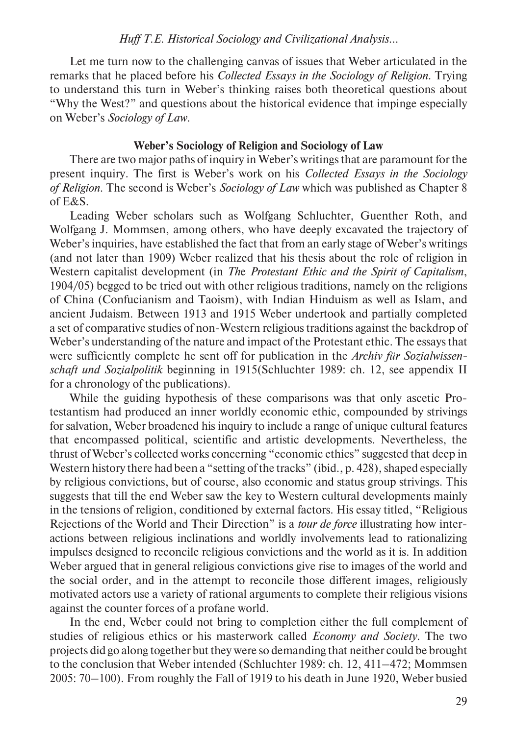Let me turn now to the challenging canvas of issues that Weber articulated in the remarks that he placed before his *Collected Essays in the Sociology of Religion.* Trying to understand this turn in Weber's thinking raises both theoretical questions about "Why the West?" and questions about the historical evidence that impinge especially on Weber's *Sociology of Law*.

## **Weber's Sociology of Religion and Sociology of Law**

There are two major paths of inquiry in Weber's writings that are paramount for the present inquiry. The first is Weber's work on his *Collected Essays in the Sociology of Religion*. The second is Weber's *Sociology of Law* which was published as Chapter 8 of E&S.

Leading Weber scholars such as Wolfgang Schluchter, Guenther Roth, and Wolfgang J. Mommsen, among others, who have deeply excavated the trajectory of Weber's inquiries, have established the fact that from an early stage of Weber's writings (and not later than 1909) Weber realized that his thesis about the role of religion in Western capitalist development (in *Th*e *Protestant Ethic and the Spirit of Capitalism*, 1904/05) begged to be tried out with other religious traditions, namely on the religions of China (Confucianism and Taoism), with Indian Hinduism as well as Islam, and ancient Judaism. Between 1913 and 1915 Weber undertook and partially completed a set of comparative studies of non-Western religious traditions against the backdrop of Weber's understanding of the nature and impact of the Protestant ethic. The essays that were sufficiently complete he sent off for publication in the *Archiv für Sozialwissenschaft und Sozialpolitik* beginning in 1915(Schluchter 1989: ch. 12, see appendix II for a chronology of the publications).

While the guiding hypothesis of these comparisons was that only ascetic Protestantism had produced an inner worldly economic ethic, compounded by strivings for salvation, Weber broadened his inquiry to include a range of unique cultural features that encompassed political, scientific and artistic developments. Nevertheless, the thrust of Weber's collected works concerning "economic ethics" suggested that deep in Western history there had been a "setting of the tracks" (ibid., p. 428), shaped especially by religious convictions, but of course, also economic and status group strivings. This suggests that till the end Weber saw the key to Western cultural developments mainly in the tensions of religion, conditioned by external factors. His essay titled, "Religious Rejections of the World and Their Direction" is a *tour de force* illustrating how interactions between religious inclinations and worldly involvements lead to rationalizing impulses designed to reconcile religious convictions and the world as it is. In addition Weber argued that in general religious convictions give rise to images of the world and the social order, and in the attempt to reconcile those different images, religiously motivated actors use a variety of rational arguments to complete their religious visions against the counter forces of a profane world.

In the end, Weber could not bring to completion either the full complement of studies of religious ethics or his masterwork called *Economy and Society*. The two projects did go along together but they were so demanding that neither could be brought to the conclusion that Weber intended (Schluchter 1989: ch. 12, 411–472; Mommsen 2005: 70–100). From roughly the Fall of 1919 to his death in June 1920, Weber busied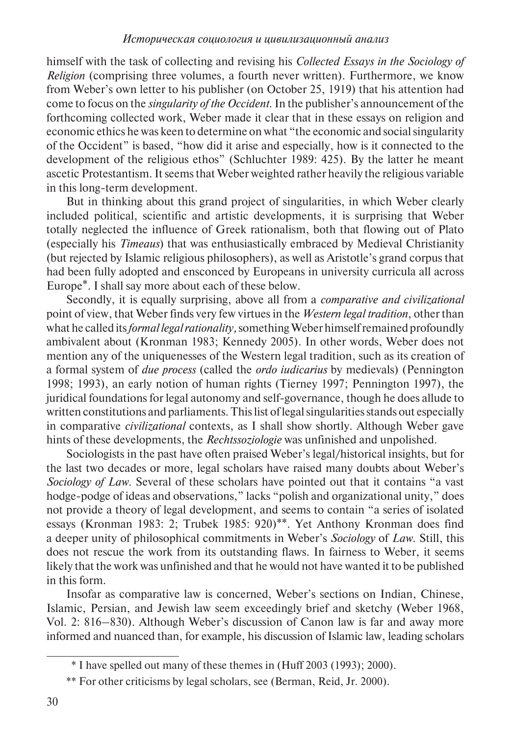himself with the task of collecting and revising his *Collected Essays in the Sociology of Religion* (comprising three volumes, a fourth never written). Furthermore, we know from Weber's own letter to his publisher (on October 25, 1919) that his attention had come to focus on the *singularity of the Occident*. In the publisher's announcement of the forthcoming collected work, Weber made it clear that in these essays on religion and economic ethics he was keen to determine on what "the economic and social singularity of the Occident" is based, "how did it arise and especially, how is it connected to the development of the religious ethos" (Schluchter 1989: 425). By the latter he meant ascetic Protestantism. It seems that Weber weighted rather heavily the religious variable in this long-term development.

But in thinking about this grand project of singularities, in which Weber clearly included political, scientific and artistic developments, it is surprising that Weber totally neglected the influence of Greek rationalism, both that flowing out of Plato (especially his *Timeaus*) that was enthusiastically embraced by Medieval Christianity (but rejected by Islamic religious philosophers), as well as Aristotle's grand corpus that had been fully adopted and ensconced by Europeans in university curricula all across Europe\*. I shall say more about each of these below.

Secondly, it is equally surprising, above all from a *comparative and civilizational* point of view, that Weber finds very few virtues in the *Western legal tradition*, other than what he called its *formal legal rationality,* something Weber himself remained profoundly ambivalent about (Kronman 1983; Kennedy 2005). In other words, Weber does not mention any of the uniquenesses of the Western legal tradition, such as its creation of a formal system of *due process* (called the *ordo iudicarius* by medievals) (Pennington 1998; 1993), an early notion of human rights (Tierney 1997; Pennington 1997), the juridical foundations for legal autonomy and self-governance, though he does allude to written constitutions and parliaments. This list of legal singularities stands out especially in comparative *civilizational* contexts, as I shall show shortly. Although Weber gave hints of these developments, the *Rechtssoziologie* was unfinished and unpolished.

Sociologists in the past have often praised Weber's legal/historical insights, but for the last two decades or more, legal scholars have raised many doubts about Weber's *Sociology of Law.* Several of these scholars have pointed out that it contains "a vast hodge-podge of ideas and observations," lacks "polish and organizational unity," does not provide a theory of legal development, and seems to contain "a series of isolated essays (Kronman 1983: 2; Trubek 1985: 920)\*\*. Yet Anthony Kronman does find a deeper unity of philosophical commitments in Weber's *Sociology* of *Law*. Still, this does not rescue the work from its outstanding flaws. In fairness to Weber, it seems likely that the work was unfinished and that he would not have wanted it to be published in this form.

Insofar as comparative law is concerned, Weber's sections on Indian, Chinese, Islamic, Persian, and Jewish law seem exceedingly brief and sketchy (Weber 1968, Vol. 2: 816–830). Although Weber's discussion of Canon law is far and away more informed and nuanced than, for example, his discussion of Islamic law, leading scholars

<sup>\*</sup> I have spelled out many of these themes in (Huff 2003 (1993); 2000).

<sup>\*\*</sup> For other criticisms by legal scholars, see (Berman, Reid, Jr. 2000).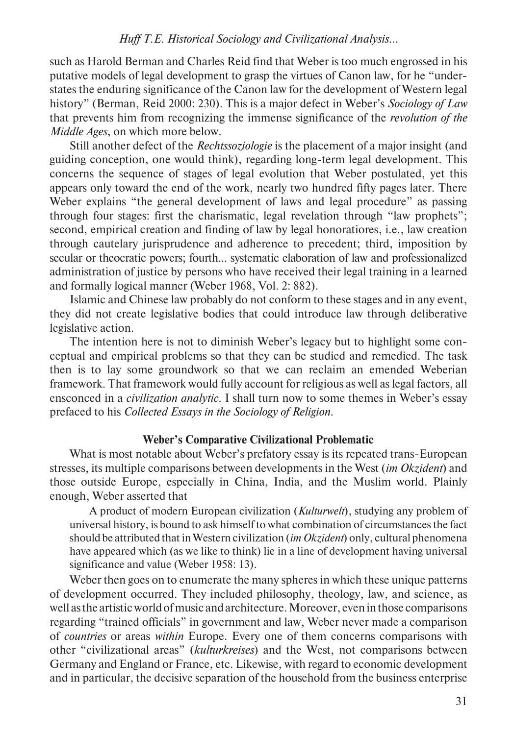such as Harold Berman and Charles Reid find that Weber is too much engrossed in his putative models of legal development to grasp the virtues of Canon law, for he "understates the enduring significance of the Canon law for the development of Western legal history" (Berman, Reid 2000: 230). This is a major defect in Weber's *Sociology of Law* that prevents him from recognizing the immense significance of the *revolution of the Middle Ages*, on which more below.

Still another defect of the *Rechtssoziologie* is the placement of a major insight (and guiding conception, one would think), regarding long-term legal development. This concerns the sequence of stages of legal evolution that Weber postulated, yet this appears only toward the end of the work, nearly two hundred fifty pages later. There Weber explains "the general development of laws and legal procedure" as passing through four stages: first the charismatic, legal revelation through "law prophets"; second, empirical creation and finding of law by legal honoratiores, i.e., law creation through cautelary jurisprudence and adherence to precedent; third, imposition by secular or theocratic powers; fourth... systematic elaboration of law and professionalized administration of justice by persons who have received their legal training in a learned and formally logical manner (Weber 1968, Vol. 2: 882).

Islamic and Chinese law probably do not conform to these stages and in any event, they did not create legislative bodies that could introduce law through deliberative legislative action.

The intention here is not to diminish Weber's legacy but to highlight some conceptual and empirical problems so that they can be studied and remedied. The task then is to lay some groundwork so that we can reclaim an emended Weberian framework. That framework would fully account for religious as well as legal factors, all ensconced in a *civilization analytic*. I shall turn now to some themes in Weber's essay prefaced to his *Collected Essays in the Sociology of Religion*.

## **Weber's Comparative Civilizational Problematic**

What is most notable about Weber's prefatory essay is its repeated trans-European stresses, its multiple comparisons between developments in the West (*im Okzident*) and those outside Europe, especially in China, India, and the Muslim world. Plainly enough, Weber asserted that

A product of modern European civilization (*Kulturwelt*), studying any problem of universal history, is bound to ask himself to what combination of circumstances the fact should be attributed that in Western civilization (*im Okzident*) only, cultural phenomena have appeared which (as we like to think) lie in a line of development having universal significance and value (Weber 1958: 13).

Weber then goes on to enumerate the many spheres in which these unique patterns of development occurred. They included philosophy, theology, law, and science, as well as the artistic world of music and architecture. Moreover, even in those comparisons regarding "trained officials" in government and law, Weber never made a comparison of *countries* or areas *within* Europe. Every one of them concerns comparisons with other "civilizational areas" (*kulturkreises*) and the West, not comparisons between Germany and England or France, etc. Likewise, with regard to economic development and in particular, the decisive separation of the household from the business enterprise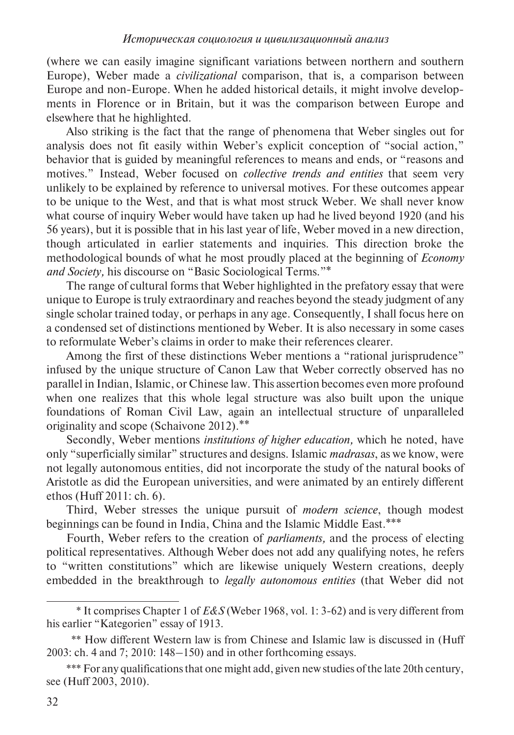(where we can easily imagine significant variations between northern and southern Europe), Weber made a *civilizational* comparison, that is, a comparison between Europe and non-Europe. When he added historical details, it might involve developments in Florence or in Britain, but it was the comparison between Europe and elsewhere that he highlighted.

Also striking is the fact that the range of phenomena that Weber singles out for analysis does not fit easily within Weber's explicit conception of "social action," behavior that is guided by meaningful references to means and ends, or "reasons and motives." Instead, Weber focused on *collective trends and entities* that seem very unlikely to be explained by reference to universal motives. For these outcomes appear to be unique to the West, and that is what most struck Weber. We shall never know what course of inquiry Weber would have taken up had he lived beyond 1920 (and his 56 years), but it is possible that in his last year of life, Weber moved in a new direction, though articulated in earlier statements and inquiries. This direction broke the methodo logical bounds of what he most proudly placed at the beginning of *Economy and Society,* his discourse on "Basic Sociological Terms."\*

The range of cultural forms that Weber highlighted in the prefatory essay that were unique to Europe is truly extraordinary and reaches beyond the steady judgment of any single scholar trained today, or perhaps in any age. Consequently, I shall focus here on a condensed set of distinctions mentioned by Weber. It is also necessary in some cases to reformulate Weber's claims in order to make their references clearer.

Among the first of these distinctions Weber mentions a "rational jurisprudence" infused by the unique structure of Canon Law that Weber correctly observed has no parallel in Indian, Islamic, or Chinese law. This assertion becomes even more profound when one realizes that this whole legal structure was also built upon the unique foundations of Roman Civil Law, again an intellectual structure of unparalleled originality and scope (Schaivone 2012).\*\*

Secondly, Weber mentions *institutions of higher education,* which he noted, have only "superficially similar" structures and designs. Islamic *madrasas*, as we know, were not legally autonomous entities, did not incorporate the study of the natural books of Aristotle as did the European universities, and were animated by an entirely different ethos (Huff 2011: ch. 6).

Third, Weber stresses the unique pursuit of *modern science*, though modest beginnings can be found in India, China and the Islamic Middle East.\*\*\*

Fourth, Weber refers to the creation of *parliaments,* and the process of electing political representatives. Although Weber does not add any qualifying notes, he refers to "written constitutions" which are likewise uniquely Western creations, deeply embedded in the breakthrough to *legally autonomous entities* (that Weber did not

<sup>\*</sup> It comprises Chapter 1 of *E&S* (Weber 1968, vol. 1: 3-62) and is very different from his earlier "Kategorien" essay of 1913.

<sup>\*\*</sup> How different Western law is from Chinese and Islamic law is discussed in (Huff 2003: ch. 4 and 7; 2010: 148–150) and in other forthcoming essays.

<sup>\*\*\*</sup> For any qualifications that one might add, given new studies of the late 20th century, see (Huff 2003, 2010).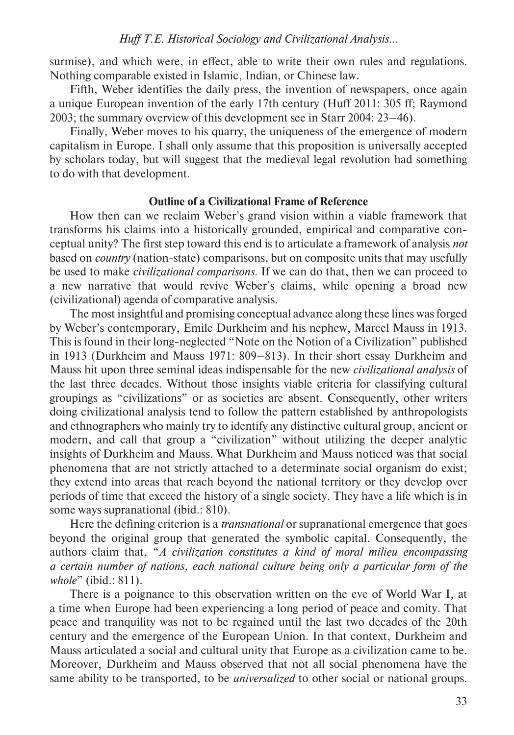surmise), and which were, in effect, able to write their own rules and regulations. Nothing comparable existed in Islamic, Indian, or Chinese law.

Fifth, Weber identifies the daily press, the invention of newspapers, once again a unique European invention of the early 17th century (Huff 2011: 305 ff; Raymond 2003; the summary overview of this development see in Starr 2004: 23–46).

Finally, Weber moves to his quarry, the uniqueness of the emergence of modern capitalism in Europe. I shall only assume that this proposition is universally accepted by scholars today, but will suggest that the medieval legal revolution had something to do with that development.

## **Outline of a Civilizational Frame of Reference**

How then can we reclaim Weber's grand vision within a viable framework that transforms his claims into a historically grounded, empirical and comparative conceptual unity? The first step toward this end is to articulate a framework of analysis *not* based on *country* (nation-state) comparisons, but on composite units that may usefully be used to make *civilizational comparisons*. If we can do that, then we can proceed to a new narrative that would revive Weber's claims, while opening a broad new (civilizational) agenda of comparative analysis.

The most insightful and promising conceptual advance along these lines was forged by Weber's contemporary, Emile Durkheim and his nephew, Marcel Mauss in 1913. This is found in their long-neglected "Note on the Notion of a Civilization" published in 1913 (Durkheim and Mauss 1971: 809–813). In their short essay Durkheim and Mauss hit upon three seminal ideas indispensable for the new *civilizational analysis* of the last three decades. Without those insights viable criteria for classifying cultural groupings as "civilizations" or as societies are absent. Consequently, other writers doing civilizational analysis tend to follow the pattern established by anthropologists and ethnographers who mainly try to identify any distinctive cultural group, ancient or modern, and call that group a "civilization" without utilizing the deeper analytic insights of Durkheim and Mauss. What Durkheim and Mauss noticed was that social phenomena that are not strictly attached to a determinate social organism do exist; they extend into areas that reach beyond the national territory or they develop over periods of time that exceed the history of a single society. They have a life which is in some ways supranational (ibid.: 810).

Here the defining criterion is a *transnational* or supranational emergence that goes beyond the original group that generated the symbolic capital. Consequently, the authors claim that, "*A civilization constitutes a kind of moral milieu encompassing a certain number of nations, each national culture being only a particular form of the whole*" (ibid.: 811).

There is a poignance to this observation written on the eve of World War I, at a time when Europe had been experiencing a long period of peace and comity. That peace and tranquility was not to be regained until the last two decades of the 20th century and the emergence of the European Union. In that context, Durkheim and Mauss articulated a social and cultural unity that Europe as a civilization came to be. Moreover, Durkheim and Mauss observed that not all social phenomena have the same ability to be transported, to be *universalized* to other social or national groups.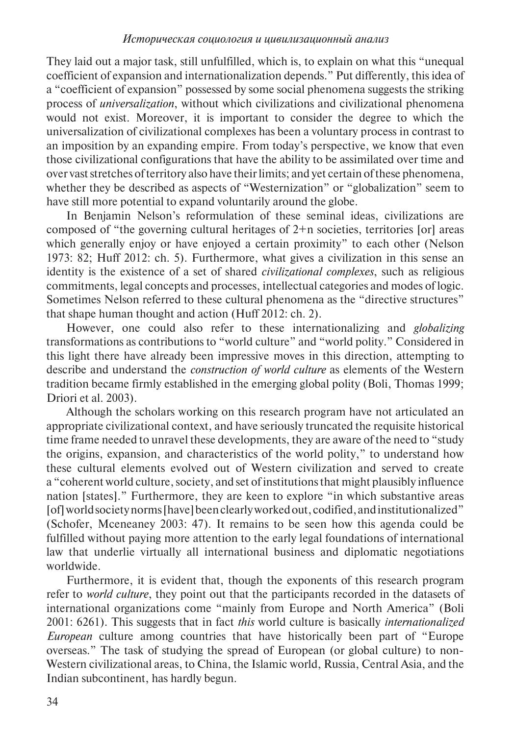They laid out a major task, still unfulfilled, which is, to explain on what this "unequal coefficient of expansion and internationalization depends." Put differently, this idea of a "coefficient of expansion" possessed by some social phenomena suggests the striking process of *universalization*, without which civilizations and civilizational phenomena would not exist. Moreover, it is important to consider the degree to which the universalization of civilizational complexes has been a voluntary process in contrast to an imposition by an expanding empire. From today's perspective, we know that even those civilizational configurations that have the ability to be assimilated over time and over vast stretches of territory also have their limits; and yet certain of these phenomena, whether they be described as aspects of "Westernization" or "globalization" seem to have still more potential to expand voluntarily around the globe.

In Benjamin Nelson's reformulation of these seminal ideas, civilizations are composed of "the governing cultural heritages of  $2+n$  societies, territories [or] areas which generally enjoy or have enjoyed a certain proximity" to each other (Nelson 1973: 82; Huff 2012: ch. 5). Furthermore, what gives a civilization in this sense an identity is the existence of a set of shared *civilizational complexes*, such as religious commitments, legal concepts and processes, intellectual categories and modes of logic. Sometimes Nelson referred to these cultural phenomena as the "directive structures" that shape human thought and action (Huff 2012: ch. 2).

However, one could also refer to these internationalizing and *globalizing* transformations as contributions to "world culture" and "world polity." Considered in this light there have already been impressive moves in this direction, attempting to describe and understand the *construction of world culture* as elements of the Western tradition became firmly established in the emerging global polity (Boli, Thomas 1999; Driori et al. 2003)*.*

Although the scholars working on this research program have not articulated an appropriate civilizational context, and have seriously truncated the requisite historical time frame needed to unravel these developments, they are aware of the need to "study the origins, expansion, and characteristics of the world polity," to understand how these cultural elements evolved out of Western civilization and served to create a "coherent world culture, society, and set of institutions that might plausibly influence nation [states]." Furthermore, they are keen to explore "in which substantive areas [of] world society norms [have] been clearly worked out, codified, and institutionalized" (Schofer, Mceneaney 2003: 47). It remains to be seen how this agenda could be fulfilled without paying more attention to the early legal foundations of international law that underlie virtually all international business and diplomatic negotiations worldwide.

Furthermore, it is evident that, though the exponents of this research program refer to *world culture*, they point out that the participants recorded in the datasets of international organizations come "mainly from Europe and North America" (Boli 2001: 6261). This suggests that in fact *this* world culture is basically *internationalized European* culture among countries that have historically been part of "Europe overseas." The task of studying the spread of European (or global culture) to non-Western civilizational areas, to China, the Islamic world, Russia, Central Asia, and the Indian subcontinent, has hardly begun.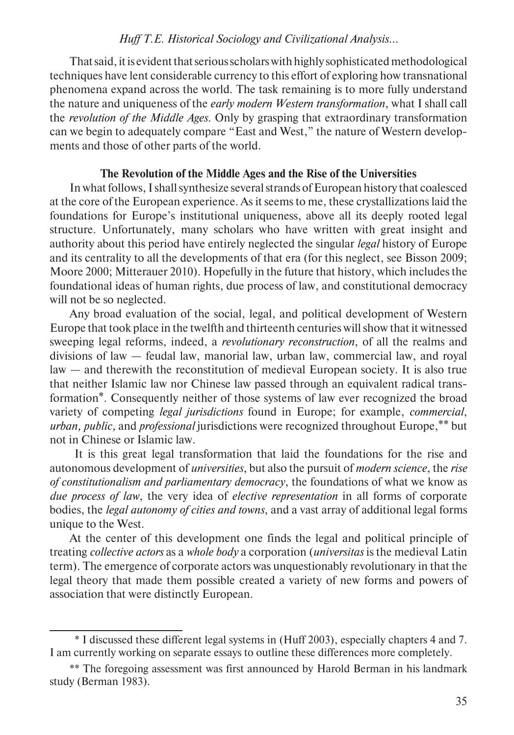That said, it is evident that serious scholars with highly sophisticated methodological techniques have lent considerable currency to this effort of exploring how transnational phenomena expand across the world. The task remaining is to more fully understand the nature and uniqueness of the *early modern Western transformation*, what I shall call the *revolution of the Middle Ages*. Only by grasping that extraordinary transformation can we begin to adequately compare "East and West," the nature of Western developments and those of other parts of the world.

## **The Revolution of the Middle Ages and the Rise of the Universities**

In what follows, I shall synthesize several strands of European history that coalesced at the core of the European experience. As it seems to me, these crystallizations laid the foundations for Europe's institutional uniqueness, above all its deeply rooted legal structure. Unfortunately, many scholars who have written with great insight and authority about this period have entirely neglected the singular *legal* history of Europe and its centrality to all the developments of that era (for this neglect, see Bisson 2009; Moore 2000; Mitterauer 2010). Hopefully in the future that history, which includes the foundational ideas of human rights, due process of law, and constitutional democracy will not be so neglected.

Any broad evaluation of the social, legal, and political development of Western Europe that took place in the twelfth and thirteenth centuries will show that it witnessed sweeping legal reforms, indeed, a *revolutionary reconstruction*, of all the realms and divisions of law — feudal law, manorial law, urban law, commercial law, and royal law — and therewith the reconstitution of medieval European society. It is also true that neither Islamic law nor Chinese law passed through an equivalent radical transformation\*. Consequently neither of those systems of law ever recognized the broad variety of competing *legal jurisdictions* found in Europe; for example, *commercial*, *urban, public,* and *professional* jurisdictions were recognized throughout Europe,\*\* but not in Chinese or Islamic law.

 It is this great legal transformation that laid the foundations for the rise and autonomous development of *universities*, but also the pursuit of *modern science*, the *rise of constitutionalism and parliamentary democracy*, the foundations of what we know as *due process of law*, the very idea of *elective representation* in all forms of corporate bodies, the *legal autonomy of cities and towns*, and a vast array of additional legal forms unique to the West.

At the center of this development one finds the legal and political principle of treating *collective actors* as a *whole body* a corporation (*universitas* is the medieval Latin term). The emergence of corporate actors was unquestionably revolutionary in that the legal theory that made them possible created a variety of new forms and powers of association that were distinctly European.

<sup>\*</sup> I discussed these different legal systems in (Huff 2003), especially chapters 4 and 7. I am currently working on separate essays to outline these differences more completely.

<sup>\*\*</sup> The foregoing assessment was first announced by Harold Berman in his landmark study (Berman 1983).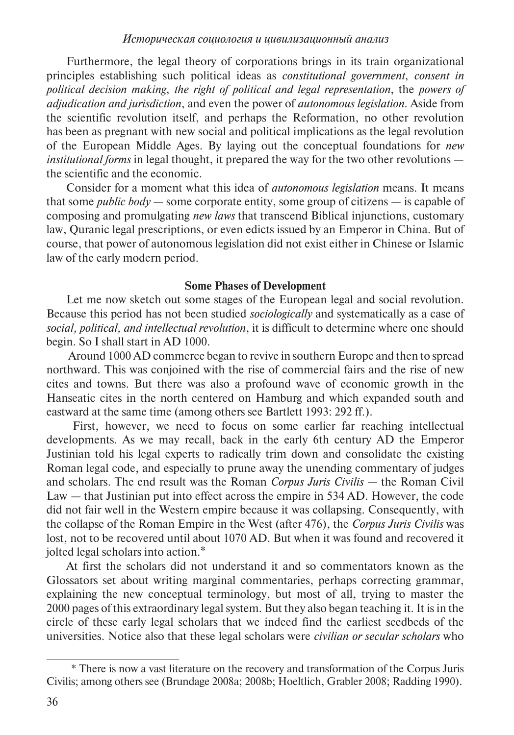Furthermore, the legal theory of corporations brings in its train organizational principles establishing such political ideas as *constitutional government*, *consent in political decision making*, *the right of political and legal representation*, the *powers of adjudication and jurisdiction*, and even the power of *autonomous legislation*. Aside from the scientific revolution itself, and perhaps the Reformation, no other revolution has been as pregnant with new social and political implications as the legal revolution of the European Middle Ages. By laying out the conceptual foundations for *new institutional forms* in legal thought, it prepared the way for the two other revolutions the scientific and the economic.

Consider for a moment what this idea of *autonomous legislation* means. It means that some *public body* — some corporate entity, some group of citizens — is capable of composing and promulgating *new laws* that transcend Biblical injunctions, customary law, Quranic legal prescriptions, or even edicts issued by an Emperor in China. But of course, that power of autonomous legislation did not exist either in Chinese or Islamic law of the early modern period.

#### **Some Phases of Development**

Let me now sketch out some stages of the European legal and social revolution. Because this period has not been studied *sociologically* and systematically as a case of *social, political, and intellectual revolution*, it is difficult to determine where one should begin. So I shall start in AD 1000.

 Around 1000 AD commerce began to revive in southern Europe and then to spread northward. This was conjoined with the rise of commercial fairs and the rise of new cites and towns. But there was also a profound wave of economic growth in the Hanseatic cites in the north centered on Hamburg and which expanded south and eastward at the same time (among others see Bartlett 1993: 292 ff.).

 First, however, we need to focus on some earlier far reaching intellectual developments. As we may recall, back in the early 6th century AD the Emperor Justinian told his legal experts to radically trim down and consolidate the existing Roman legal code, and especially to prune away the unending commentary of judges and scholars. The end result was the Roman *Corpus Juris Civilis —* the Roman Civil Law *—* that Justinian put into effect across the empire in 534 AD. However, the code did not fair well in the Western empire because it was collapsing. Consequently, with the collapse of the Roman Empire in the West (after 476), the *Corpus Juris Civilis* was lost, not to be recovered until about 1070 AD. But when it was found and recovered it jolted legal scholars into action.\*

At first the scholars did not understand it and so commentators known as the Glossators set about writing marginal commentaries, perhaps correcting grammar, explaining the new conceptual terminology, but most of all, trying to master the 2000 pages of this extraordinary legal system. But they also began teaching it. It is in the circle of these early legal scholars that we indeed find the earliest seedbeds of the universities. Notice also that these legal scholars were *civilian or secular scholars* who

<sup>\*</sup> There is now a vast literature on the recovery and transformation of the Corpus Juris Civilis; among others see (Brundage 2008a; 2008b; Hoeltlich, Grabler 2008; Radding 1990).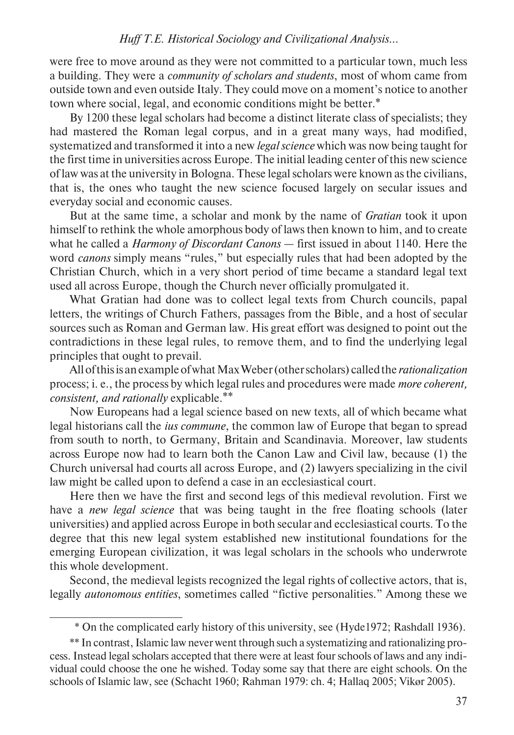were free to move around as they were not committed to a particular town, much less a building. They were a *community of scholars and students*, most of whom came from outside town and even outside Italy. They could move on a moment's notice to another town where social, legal, and economic conditions might be better.\*

By 1200 these legal scholars had become a distinct literate class of specialists; they had mastered the Roman legal corpus, and in a great many ways, had modified, systematized and transformed it into a new *legal science* which was now being taught for the first time in universities across Europe. The initial leading center of this new science of law was at the university in Bologna. These legal scholars were known as the civilians, that is, the ones who taught the new science focused largely on secular issues and everyday social and economic causes.

But at the same time, a scholar and monk by the name of *Gratian* took it upon himself to rethink the whole amorphous body of laws then known to him, and to create what he called a *Harmony of Discordant Canons* — first issued in about 1140. Here the word *canons* simply means "rules," but especially rules that had been adopted by the Christian Church, which in a very short period of time became a standard legal text used all across Europe, though the Church never officially promulgated it.

What Gratian had done was to collect legal texts from Church councils, papal letters, the writings of Church Fathers, passages from the Bible, and a host of secular sources such as Roman and German law. His great effort was designed to point out the contradictions in these legal rules, to remove them, and to find the underlying legal principles that ought to prevail.

All of this is an example of what Max Weber (other scholars) called the *rationalization*  process; i. e., the process by which legal rules and procedures were made *more coherent, consistent, and rationally* explicable.\*\*

Now Europeans had a legal science based on new texts, all of which became what legal historians call the *ius commune*, the common law of Europe that began to spread from south to north, to Germany, Britain and Scandinavia. Moreover, law students across Europe now had to learn both the Canon Law and Civil law, because (1) the Church universal had courts all across Europe, and (2) lawyers specializing in the civil law might be called upon to defend a case in an ecclesiastical court.

Here then we have the first and second legs of this medieval revolution. First we have a *new legal science* that was being taught in the free floating schools (later universities) and applied across Europe in both secular and ecclesiastical courts. To the degree that this new legal system established new institutional foundations for the emerging European civilization, it was legal scholars in the schools who underwrote this whole development.

Second, the medieval legists recognized the legal rights of collective actors, that is, legally *autonomous entities*, sometimes called "fictive personalities." Among these we

<sup>\*</sup> On the complicated early history of this university, see (Hyde1972; Rashdall 1936).

<sup>\*\*</sup> In contrast, Islamic law never went through such a systematizing and rationalizing process. Instead legal scholars accepted that there were at least four schools of laws and any individual could choose the one he wished. Today some say that there are eight schools. On the schools of Islamic law, see (Schacht 1960; Rahman 1979: ch. 4; Hallaq 2005; Vikør 2005).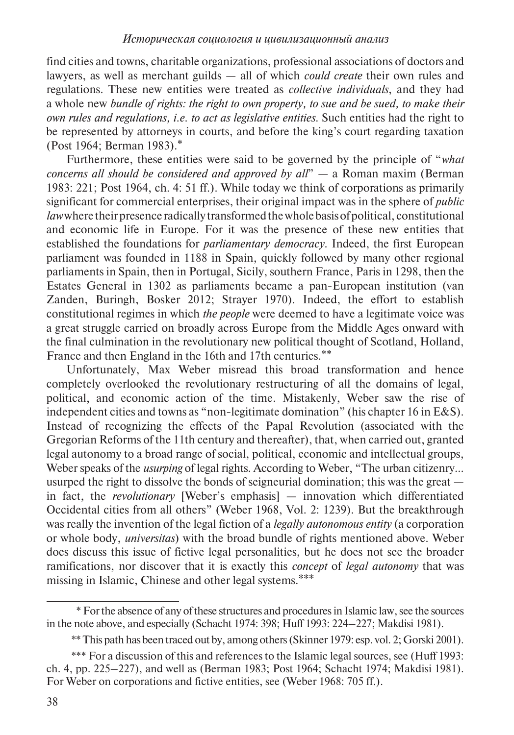find cities and towns, charitable organizations, professional associations of doctors and lawyers, as well as merchant guilds — all of which *could create* their own rules and regulations. These new entities were treated as *collective individuals*, and they had a whole new *bundle of rights: the right to own property, to sue and be sued, to make their own rules and regulations, i.e. to act as legislative entities*. Such entities had the right to be represented by attorneys in courts, and before the king's court regarding taxation (Post 1964; Berman 1983).\*

Furthermore, these entities were said to be governed by the principle of "*what concerns all should be considered and approved by all*" — a Roman maxim (Berman 1983: 221; Post 1964, ch. 4: 51 ff.). While today we think of corporations as primarily significant for commercial enterprises, their original impact was in the sphere of *public law* where their presence radically transformed the whole basis of political, constitutional and economic life in Europe. For it was the presence of these new entities that established the foundations for *parliamentary democracy*. Indeed, the first European parliament was founded in 1188 in Spain, quickly followed by many other regional parliaments in Spain, then in Portugal, Sicily, southern France, Paris in 1298, then the Estates General in 1302 as parliaments became a pan-European institution (van Zanden, Buringh, Bosker 2012; Strayer 1970). Indeed, the effort to establish constitutional regimes in which *the people* were deemed to have a legitimate voice was a great struggle carried on broadly across Europe from the Middle Ages onward with the final culmination in the revolutionary new political thought of Scotland, Holland, France and then England in the 16th and 17th centuries.\*\*

Unfortunately, Max Weber misread this broad transformation and hence completely overlooked the revolutionary restructuring of all the domains of legal, political, and economic action of the time. Mistakenly, Weber saw the rise of independent cities and towns as "non-legitimate domination" (his chapter 16 in E&S). Instead of recognizing the effects of the Papal Revolution (associated with the Gregorian Reforms of the 11th century and thereafter), that, when carried out, granted legal autonomy to a broad range of social, political, economic and intellectual groups, Weber speaks of the *usurping* of legal rights. According to Weber, "The urban citizenry... usurped the right to dissolve the bonds of seigneurial domination; this was the great in fact, the *revolutionary* [Weber's emphasis] — innovation which differentiated Occidental cities from all others" (Weber 1968, Vol. 2: 1239). But the breakthrough was really the invention of the legal fiction of a *legally autonomous entity* (a corporation or whole body, *universitas*) with the broad bundle of rights mentioned above. Weber does discuss this issue of fictive legal personalities, but he does not see the broader ramifications, nor discover that it is exactly this *concept* of *legal autonomy* that was missing in Islamic, Chinese and other legal systems.\*\*\*

<sup>\*</sup> For the absence of any of these structures and procedures in Islamic law, see the sources in the note above, and especially (Schacht 1974: 398; Huff 1993: 224–227; Makdisi 1981).

<sup>\*\*</sup> This path has been traced out by, among others (Skinner 1979: esp. vol. 2; Gorski 2001).

<sup>\*\*\*</sup> For a discussion of this and references to the Islamic legal sources, see (Huff 1993: ch. 4, pp. 225–227), and well as (Berman 1983; Post 1964; Schacht 1974; Makdisi 1981). For Weber on corporations and fictive entities, see (Weber 1968: 705 ff.).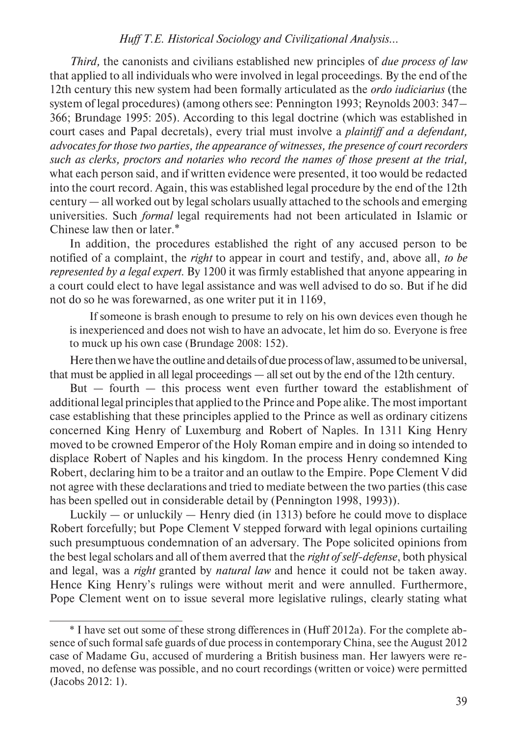*Third,* the canonists and civilians established new principles of *due process of law*  that applied to all individuals who were involved in legal proceedings. By the end of the 12th century this new system had been formally articulated as the *ordo iudiciarius* (the system of legal procedures) (among others see: Pennington 1993; Reynolds 2003: 347– 366; Brundage 1995: 205)*.* According to this legal doctrine (which was established in court cases and Papal decretals), every trial must involve a *plaintiff and a defendant, advocates for those two parties, the appearance of witnesses, the presence of court recorders such as clerks, proctors and notaries who record the names of those present at the trial,*  what each person said, and if written evidence were presented, it too would be redacted into the court record. Again, this was established legal procedure by the end of the 12th century — all worked out by legal scholars usually attached to the schools and emerging universities. Such *formal* legal requirements had not been articulated in Islamic or Chinese law then or later.\*

In addition, the procedures established the right of any accused person to be notified of a complaint, the *right* to appear in court and testify, and, above all, *to be represented by a legal expert*. By 1200 it was firmly established that anyone appearing in a court could elect to have legal assistance and was well advised to do so. But if he did not do so he was forewarned, as one writer put it in 1169,

If someone is brash enough to presume to rely on his own devices even though he is inexperienced and does not wish to have an advocate, let him do so. Everyone is free to muck up his own case (Brundage 2008: 152)*.*

Here then we have the outline and details of due process of law, assumed to be universal, that must be applied in all legal proceedings — all set out by the end of the 12th century.

But — fourth — this process went even further toward the establishment of additional legal principles that applied to the Prince and Pope alike. The most important case establishing that these principles applied to the Prince as well as ordinary citizens concerned King Henry of Luxemburg and Robert of Naples. In 1311 King Henry moved to be crowned Emperor of the Holy Roman empire and in doing so intended to displace Robert of Naples and his kingdom. In the process Henry condemned King Robert, declaring him to be a traitor and an outlaw to the Empire. Pope Clement V did not agree with these declarations and tried to mediate between the two parties (this case has been spelled out in considerable detail by (Pennington 1998, 1993)).

Luckily — or unluckily — Henry died (in 1313) before he could move to displace Robert forcefully; but Pope Clement V stepped forward with legal opinions curtailing such presumptuous condemnation of an adversary. The Pope solicited opinions from the best legal scholars and all of them averred that the *right of self-defense*, both physical and legal, was a *right* granted by *natural law* and hence it could not be taken away. Hence King Henry's rulings were without merit and were annulled. Furthermore, Pope Clement went on to issue several more legislative rulings, clearly stating what

<sup>\*</sup> I have set out some of these strong differences in (Huff 2012a). For the complete absence of such formal safe guards of due process in contemporary China, see the August 2012 case of Madame Gu, accused of murdering a British business man. Her lawyers were removed, no defense was possible, and no court recordings (written or voice) were permitted (Jacobs 2012: 1).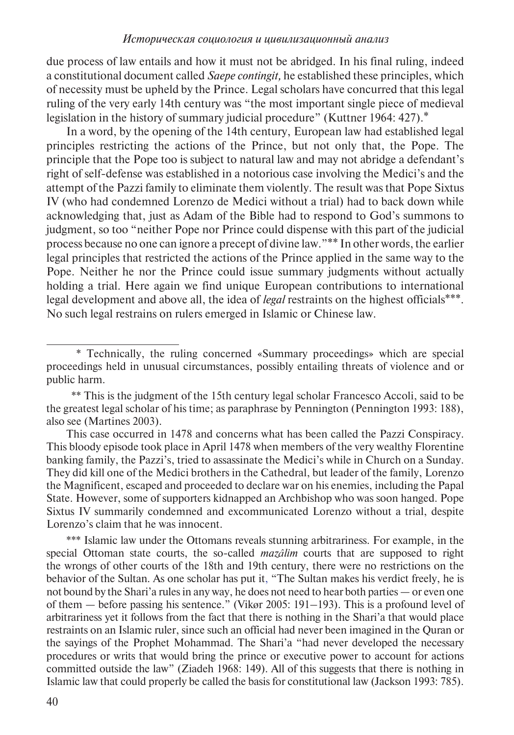due process of law entails and how it must not be abridged. In his final ruling, indeed a constitutional document called *Saepe contingit,* he established these principles, which of necessity must be upheld by the Prince*.* Legal scholars have concurred that this legal ruling of the very early 14th century was "the most important single piece of medieval legislation in the history of summary judicial procedure" (Kuttner 1964: 427).<sup>\*</sup>

In a word, by the opening of the 14th century, European law had established legal principles restricting the actions of the Prince, but not only that, the Pope. The principle that the Pope too is subject to natural law and may not abridge a defendant's right of self-defense was established in a notorious case involving the Medici's and the attempt of the Pazzi family to eliminate them violently. The result was that Pope Sixtus IV (who had condemned Lorenzo de Medici without a trial) had to back down while acknowledging that, just as Adam of the Bible had to respond to God's summons to judgment, so too "neither Pope nor Prince could dispense with this part of the judicial process because no one can ignore a precept of divine law."\*\* In other words, the earlier legal principles that restricted the actions of the Prince applied in the same way to the Pope. Neither he nor the Prince could issue summary judgments without actually holding a trial. Here again we find unique European contributions to international legal development and above all, the idea of *legal* restraints on the highest officials\*\*\*. No such legal restrains on rulers emerged in Islamic or Chinese law.

<sup>\*</sup> Technically, the ruling concerned «Summary proceedings» which are special proceedings held in unusual circumstances, possibly entailing threats of violence and or public harm.

<sup>\*\*</sup> This is the judgment of the 15th century legal scholar Francesco Accoli, said to be the greatest legal scholar of his time; as paraphrase by Pennington (Pennington 1993: 188), also see (Martines 2003).

This case occurred in 1478 and concerns what has been called the Pazzi Conspiracy. This bloody episode took place in April 1478 when members of the very wealthy Florentine banking family, the Pazzi's, tried to assassinate the Medici's while in Church on a Sunday. They did kill one of the Medici brothers in the Cathedral, but leader of the family, Lorenzo the Magnificent, escaped and proceeded to declare war on his enemies, including the Papal State. However, some of supporters kidnapped an Archbishop who was soon hanged. Pope Sixtus IV summarily condemned and excommunicated Lorenzo without a trial, despite Lorenzo's claim that he was innocent.

<sup>\*\*\*</sup> Islamic law under the Ottomans reveals stunning arbitrariness. For example, in the special Ottoman state courts, the so-called *mazâlim* courts that are supposed to right the wrongs of other courts of the 18th and 19th century, there were no restrictions on the behavior of the Sultan. As one scholar has put it, "The Sultan makes his verdict freely, he is not bound by the Shari'a rules in any way, he does not need to hear both parties — or even one of them — before passing his sentence." (Vikør 2005: 191–193). This is a profound level of arbitrariness yet it follows from the fact that there is nothing in the Shari'a that would place restraints on an Islamic ruler, since such an official had never been imagined in the Quran or the sayings of the Prophet Mohammad. The Shari'a "had never developed the necessary procedures or writs that would bring the prince or executive power to account for actions committed outside the law" (Ziadeh 1968: 149). All of this suggests that there is nothing in Islamic law that could properly be called the basis for constitutional law (Jackson 1993: 785).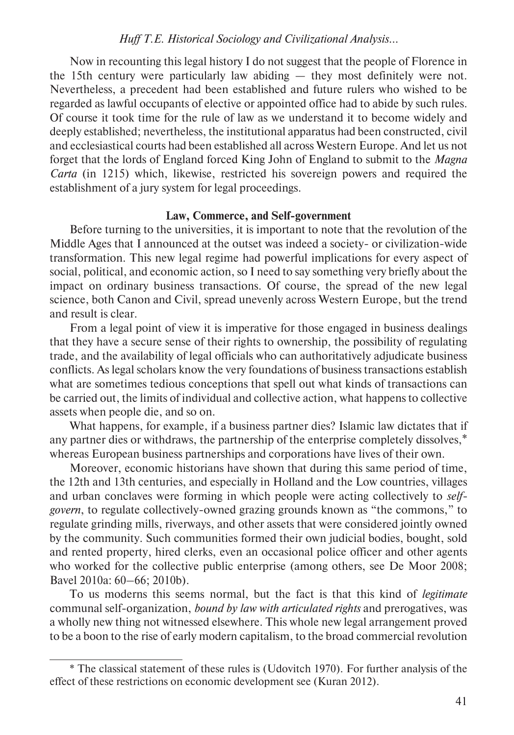Now in recounting this legal history I do not suggest that the people of Florence in the 15th century were particularly law abiding — they most definitely were not. Nevertheless, a precedent had been established and future rulers who wished to be regarded as lawful occupants of elective or appointed office had to abide by such rules. Of course it took time for the rule of law as we understand it to become widely and deeply established; nevertheless, the institutional apparatus had been constructed, civil and ecclesiastical courts had been established all across Western Europe. And let us not forget that the lords of England forced King John of England to submit to the *Magna Carta* (in 1215) which, likewise, restricted his sovereign powers and required the establishment of a jury system for legal proceedings.

## **Law, Commerce, and Self-government**

Before turning to the universities, it is important to note that the revolution of the Middle Ages that I announced at the outset was indeed a society- or civilization-wide transformation. This new legal regime had powerful implications for every aspect of social, political, and economic action, so I need to say something very briefly about the impact on ordinary business transactions. Of course, the spread of the new legal science, both Canon and Civil, spread unevenly across Western Europe, but the trend and result is clear.

From a legal point of view it is imperative for those engaged in business dealings that they have a secure sense of their rights to ownership, the possibility of regulating trade, and the availability of legal officials who can authoritatively adjudicate business conflicts. As legal scholars know the very foundations of business transactions establish what are sometimes tedious conceptions that spell out what kinds of transactions can be carried out, the limits of individual and collective action, what happens to collective assets when people die, and so on.

What happens, for example, if a business partner dies? Islamic law dictates that if any partner dies or withdraws, the partnership of the enterprise completely dissolves,\* whereas European business partnerships and corporations have lives of their own.

Moreover, economic historians have shown that during this same period of time, the 12th and 13th centuries, and especially in Holland and the Low countries, villages and urban conclaves were forming in which people were acting collectively to *selfgovern*, to regulate collectively-owned grazing grounds known as "the commons," to regulate grinding mills, riverways, and other assets that were considered jointly owned by the community. Such communities formed their own judicial bodies, bought, sold and rented property, hired clerks, even an occasional police officer and other agents who worked for the collective public enterprise (among others, see De Moor 2008; Bavel 2010a: 60–66; 2010b).

To us moderns this seems normal, but the fact is that this kind of *legitimate* communal self-organization, *bound by law with articulated rights* and prerogatives, was a wholly new thing not witnessed elsewhere. This whole new legal arrangement proved to be a boon to the rise of early modern capitalism, to the broad commercial revolution

<sup>\*</sup> The classical statement of these rules is (Udovitch 1970). For further analysis of the effect of these restrictions on economic development see (Kuran 2012).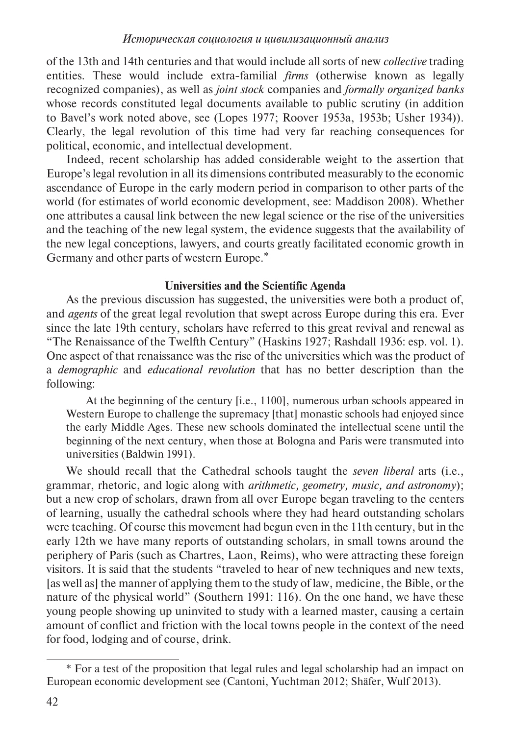of the 13th and 14th centuries and that would include all sorts of new *collective* trading entities. These would include extra-familial *firms* (otherwise known as legally recognized companies), as well as *joint stock* companies and *formally organized banks* whose records constituted legal documents available to public scrutiny (in addition to Bavel's work noted above, see (Lopes 1977; Roover 1953a, 1953b; Usher 1934)). Clearly, the legal revolution of this time had very far reaching consequences for political, economic, and intellectual development.

Indeed, recent scholarship has added considerable weight to the assertion that Europe's legal revolution in all its dimensions contributed measurably to the economic ascendance of Europe in the early modern period in comparison to other parts of the world (for estimates of world economic development, see: Maddison 2008). Whether one attributes a causal link between the new legal science or the rise of the universities and the teaching of the new legal system, the evidence suggests that the availability of the new legal conceptions, lawyers, and courts greatly facilitated economic growth in Germany and other parts of western Europe.\*

## **Universities and the Scientific Agenda**

As the previous discussion has suggested, the universities were both a product of, and *agents* of the great legal revolution that swept across Europe during this era. Ever since the late 19th century, scholars have referred to this great revival and renewal as "The Renaissance of the Twelfth Century" (Haskins 1927; Rashdall 1936: esp. vol. 1). One aspect of that renaissance was the rise of the universities which was the product of a *demographic* and *educational revolution* that has no better description than the following:

At the beginning of the century [i.e., 1100], numerous urban schools appeared in Western Europe to challenge the supremacy [that] monastic schools had enjoyed since the early Middle Ages. These new schools dominated the intellectual scene until the beginning of the next century, when those at Bologna and Paris were transmuted into universities (Baldwin 1991).

We should recall that the Cathedral schools taught the *seven liberal* arts (i.e., grammar, rhetoric, and logic along with *arithmetic, geometry, music, and astronomy*); but a new crop of scholars, drawn from all over Europe began traveling to the centers of learning, usually the cathedral schools where they had heard outstanding scholars were teaching. Of course this movement had begun even in the 11th century, but in the early 12th we have many reports of outstanding scholars, in small towns around the periphery of Paris (such as Chartres, Laon, Reims), who were attracting these foreign visitors. It is said that the students "traveled to hear of new techniques and new texts, [as well as] the manner of applying them to the study of law, medicine, the Bible, or the nature of the physical world" (Southern 1991: 116). On the one hand, we have these young people showing up uninvited to study with a learned master, causing a certain amount of conflict and friction with the local towns people in the context of the need for food, lodging and of course, drink.

<sup>\*</sup> For a test of the proposition that legal rules and legal scholarship had an impact on European economic development see (Cantoni, Yuchtman 2012; Shäfer, Wulf 2013).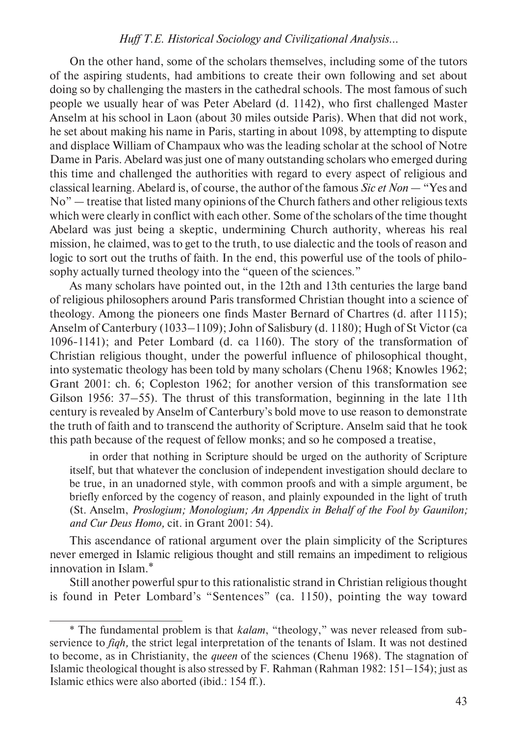On the other hand, some of the scholars themselves, including some of the tutors of the aspiring students, had ambitions to create their own following and set about doing so by challenging the masters in the cathedral schools. The most famous of such people we usually hear of was Peter Abelard (d. 1142), who first challenged Master Anselm at his school in Laon (about 30 miles outside Paris). When that did not work, he set about making his name in Paris, starting in about 1098, by attempting to dispute and displace William of Champaux who was the leading scholar at the school of Notre Dame in Paris. Abelard was just one of many outstanding scholars who emerged during this time and challenged the authorities with regard to every aspect of religious and classical learning. Abelard is, of course, the author of the famous *Sic et Non* — "Yes and No" — treatise that listed many opinions of the Church fathers and other religious texts which were clearly in conflict with each other. Some of the scholars of the time thought Abelard was just being a skeptic, undermining Church authority, whereas his real mission, he claimed, was to get to the truth, to use dialectic and the tools of reason and logic to sort out the truths of faith. In the end, this powerful use of the tools of philosophy actually turned theology into the "queen of the sciences."

As many scholars have pointed out, in the 12th and 13th centuries the large band of religious philosophers around Paris transformed Christian thought into a science of theology. Among the pioneers one finds Master Bernard of Chartres (d. after 1115); Anselm of Canterbury (1033–1109); John of Salisbury (d. 1180); Hugh of St Victor (ca 1096-1141); and Peter Lombard (d. ca 1160). The story of the transformation of Christian religious thought, under the powerful influence of philosophical thought, into systematic theology has been told by many scholars (Chenu 1968; Knowles 1962; Grant 2001: ch. 6; Copleston 1962; for another version of this transformation see Gilson 1956: 37–55). The thrust of this transformation, beginning in the late 11th century is revealed by Anselm of Canterbury's bold move to use reason to demonstrate the truth of faith and to transcend the authority of Scripture. Anselm said that he took this path because of the request of fellow monks; and so he composed a treatise,

in order that nothing in Scripture should be urged on the authority of Scripture itself, but that whatever the conclusion of independent investigation should declare to be true, in an unadorned style, with common proofs and with a simple argument, be briefly enforced by the cogency of reason, and plainly expounded in the light of truth (St. Anselm, *Proslogium; Monologium; An Appendix in Behalf of the Fool by Gaunilon; and Cur Deus Homo,* cit. in Grant 2001: 54).

This ascendance of rational argument over the plain simplicity of the Scriptures never emerged in Islamic religious thought and still remains an impediment to religious innovation in Islam.\*

Still another powerful spur to this rationalistic strand in Christian religious thought is found in Peter Lombard's "Sentences" (ca. 1150), pointing the way toward

<sup>\*</sup> The fundamental problem is that *kalam*, "theology," was never released from subservience to *fiqh,* the strict legal interpretation of the tenants of Islam. It was not destined to become, as in Christianity, the *queen* of the sciences (Chenu 1968). The stagnation of Islamic theological thought is also stressed by F. Rahman (Rahman 1982: 151–154); just as Islamic ethics were also aborted (ibid.: 154 ff.).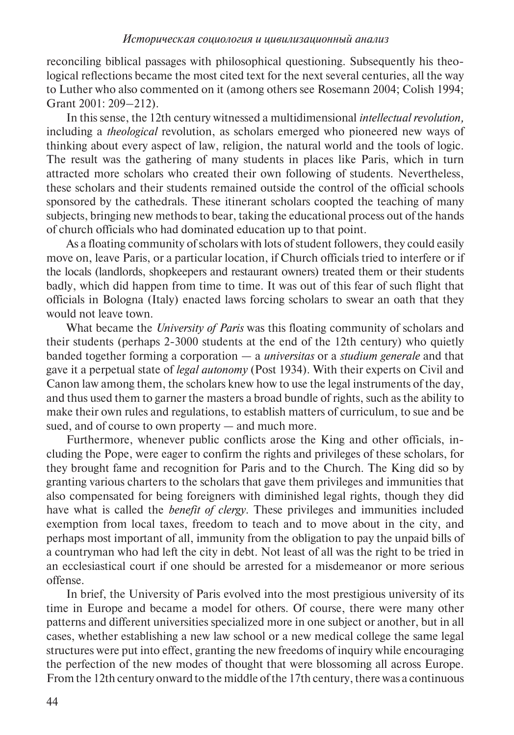reconciling biblical passages with philosophical questioning. Subsequently his theological reflections became the most cited text for the next several centuries, all the way to Luther who also commented on it (among others see Rosemann 2004; Colish 1994; Grant 2001: 209–212).

In this sense, the 12th century witnessed a multidimensional *intellectual revolution,* including a *theological* revolution, as scholars emerged who pioneered new ways of thinking about every aspect of law, religion, the natural world and the tools of logic. The result was the gathering of many students in places like Paris, which in turn attracted more scholars who created their own following of students. Nevertheless, these scholars and their students remained outside the control of the official schools sponsored by the cathedrals. These itinerant scholars coopted the teaching of many subjects, bringing new methods to bear, taking the educational process out of the hands of church officials who had dominated education up to that point.

As a floating community of scholars with lots of student followers, they could easily move on, leave Paris, or a particular location, if Church officials tried to interfere or if the locals (landlords, shopkeepers and restaurant owners) treated them or their students badly, which did happen from time to time. It was out of this fear of such flight that officials in Bologna (Italy) enacted laws forcing scholars to swear an oath that they would not leave town.

What became the *University of Paris* was this floating community of scholars and their students (perhaps 2-3000 students at the end of the 12th century) who quietly banded together forming a corporation — a *universitas* or a *studium generale* and that gave it a perpetual state of *legal autonomy* (Post 1934). With their experts on Civil and Canon law among them, the scholars knew how to use the legal instruments of the day, and thus used them to garner the masters a broad bundle of rights, such as the ability to make their own rules and regulations, to establish matters of curriculum, to sue and be sued, and of course to own property — and much more.

Furthermore, whenever public conflicts arose the King and other officials, including the Pope, were eager to confirm the rights and privileges of these scholars, for they brought fame and recognition for Paris and to the Church. The King did so by granting various charters to the scholars that gave them privileges and immunities that also compensated for being foreigners with diminished legal rights, though they did have what is called the *benefit of clergy*. These privileges and immunities included exemption from local taxes, freedom to teach and to move about in the city, and perhaps most important of all, immunity from the obligation to pay the unpaid bills of a countryman who had left the city in debt. Not least of all was the right to be tried in an ecclesiastical court if one should be arrested for a misdemeanor or more serious offense.

In brief, the University of Paris evolved into the most prestigious university of its time in Europe and became a model for others. Of course, there were many other patterns and different universities specialized more in one subject or another, but in all cases, whether establishing a new law school or a new medical college the same legal structures were put into effect, granting the new freedoms of inquiry while encouraging the perfection of the new modes of thought that were blossoming all across Europe. From the 12th century onward to the middle of the 17th century, there was a continuous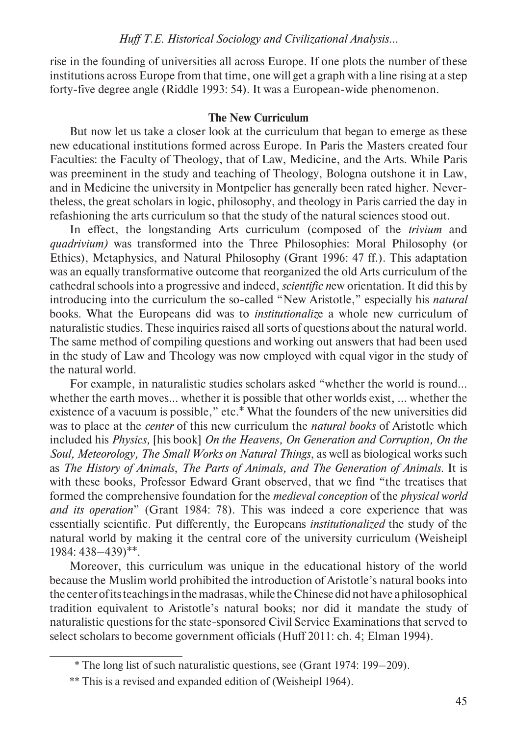rise in the founding of universities all across Europe. If one plots the number of these institutions across Europe from that time, one will get a graph with a line rising at a step forty-five degree angle (Riddle 1993: 54). It was a European-wide phenomenon.

## **The New Curriculum**

But now let us take a closer look at the curriculum that began to emerge as these new educational institutions formed across Europe. In Paris the Masters created four Faculties: the Faculty of Theology, that of Law, Medicine, and the Arts. While Paris was preeminent in the study and teaching of Theology, Bologna outshone it in Law, and in Medicine the university in Montpelier has generally been rated higher. Nevertheless, the great scholars in logic, philosophy, and theology in Paris carried the day in refashioning the arts curriculum so that the study of the natural sciences stood out.

In effect, the longstanding Arts curriculum (composed of the *trivium* and *quadrivium)* was transformed into the Three Philosophies: Moral Philosophy (or Ethics), Metaphysics, and Natural Philosophy (Grant 1996: 47 ff.). This adaptation was an equally transformative outcome that reorganized the old Arts curriculum of the cathedral schools into a progressive and indeed, *scientific n*ew orientation. It did this by introducing into the curriculum the so-called "New Aristotle," especially his *natural*  books. What the Europeans did was to *institutionaliz*e a whole new curriculum of naturalistic studies. These inquiries raised all sorts of questions about the natural world. The same method of compiling questions and working out answers that had been used in the study of Law and Theology was now employed with equal vigor in the study of the natural world.

For example, in naturalistic studies scholars asked "whether the world is round... whether the earth moves... whether it is possible that other worlds exist, ... whether the existence of a vacuum is possible," etc.\* What the founders of the new universities did was to place at the *center* of this new curriculum the *natural books* of Aristotle which included his *Physics,* [his book] *On the Heavens, On Generation and Corruption, On the Soul, Meteorology, The Small Works on Natural Things*, as well as biological works such as *The History of Animals*, *The Parts of Animals, and The Generation of Animals*. It is with these books, Professor Edward Grant observed, that we find "the treatises that formed the comprehensive foundation for the *medieval conception* of the *physical world and its operation*" (Grant 1984: 78). This was indeed a core experience that was essentially scientific. Put differently, the Europeans *institutionalized* the study of the natural world by making it the central core of the university curriculum (Weisheipl 1984: 438–439)\*\*.

Moreover, this curriculum was unique in the educational history of the world because the Muslim world prohibited the introduction of Aristotle's natural books into the center of its teachings in the madrasas, while the Chinese did not have a philosophical tradition equivalent to Aristotle's natural books; nor did it mandate the study of naturalistic questions for the state-sponsored Civil Service Examinations that served to select scholars to become government officials (Huff 2011: ch. 4; Elman 1994).

<sup>\*</sup> The long list of such naturalistic questions, see (Grant 1974: 199–209).

<sup>\*\*</sup> This is a revised and expanded edition of (Weisheipl 1964).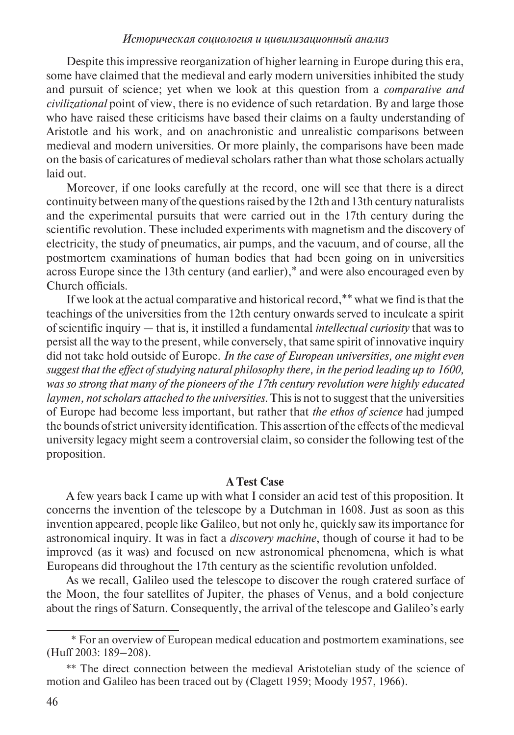Despite this impressive reorganization of higher learning in Europe during this era, some have claimed that the medieval and early modern universities inhibited the study and pursuit of science; yet when we look at this question from a *comparative and civilizational* point of view, there is no evidence of such retardation. By and large those who have raised these criticisms have based their claims on a faulty understanding of Aristotle and his work, and on anachronistic and unrealistic comparisons between medieval and modern universities. Or more plainly, the comparisons have been made on the basis of caricatures of medieval scholars rather than what those scholars actually laid out.

Moreover, if one looks carefully at the record, one will see that there is a direct continuity between many of the questions raised by the 12th and 13th century naturalists and the experimental pursuits that were carried out in the 17th century during the scientific revolution. These included experiments with magnetism and the discovery of electricity, the study of pneumatics, air pumps, and the vacuum, and of course, all the postmortem examinations of human bodies that had been going on in universities across Europe since the 13th century (and earlier),\* and were also encouraged even by Church officials.

If we look at the actual comparative and historical record,\*\* what we find is that the teachings of the universities from the 12th century onwards served to inculcate a spirit of scientific inquiry — that is, it instilled a fundamental *intellectual curiosity* that was to persist all the way to the present, while conversely, that same spirit of innovative inquiry did not take hold outside of Europe. *In the case of European universities, one might even suggest that the effect of studying natural philosophy there, in the period leading up to 1600, was so strong that many of the pioneers of the 17th century revolution were highly educated laymen, notscholars attached to the universities.* This is not to suggest that the universities of Europe had become less important, but rather that *the ethos of science* had jumped the bounds of strict university identification. This assertion of the effects of the medieval university legacy might seem a controversial claim, so consider the following test of the proposition.

## **A Test Case**

A few years back I came up with what I consider an acid test of this proposition. It concerns the invention of the telescope by a Dutchman in 1608. Just as soon as this invention appeared, people like Galileo, but not only he, quickly saw its importance for astronomical inquiry. It was in fact a *discovery machine*, though of course it had to be improved (as it was) and focused on new astronomical phenomena, which is what Europeans did throughout the 17th century as the scientific revolution unfolded.

As we recall, Galileo used the telescope to discover the rough cratered surface of the Moon, the four satellites of Jupiter, the phases of Venus, and a bold conjecture about the rings of Saturn. Consequently, the arrival of the telescope and Galileo's early

<sup>\*</sup> For an overview of European medical education and postmortem examinations, see (Huff 2003: 189–208).

<sup>\*\*</sup> The direct connection between the medieval Aristotelian study of the science of motion and Galileo has been traced out by (Clagett 1959; Moody 1957, 1966).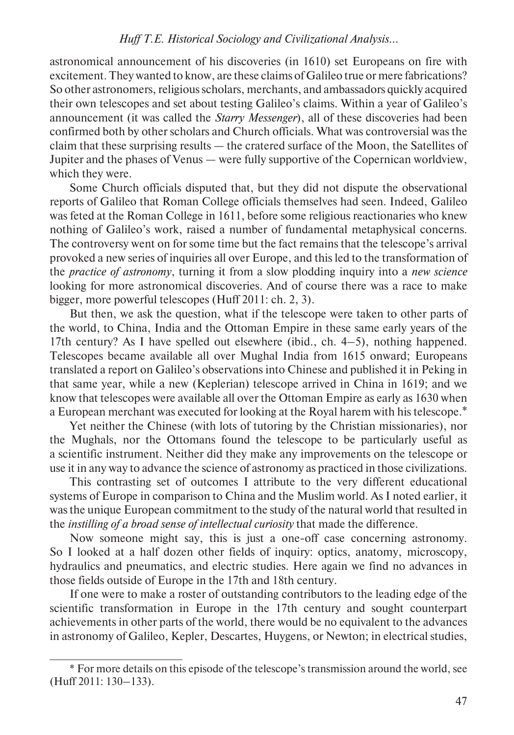astronomical announcement of his discoveries (in 1610) set Europeans on fire with excitement. They wanted to know, are these claims of Galileo true or mere fabrications? So other astronomers, religious scholars, merchants, and ambassadors quickly acquired their own telescopes and set about testing Galileo's claims. Within a year of Galileo's announcement (it was called the *Starry Messenger*), all of these discoveries had been confirmed both by other scholars and Church officials. What was controversial was the claim that these surprising results — the cratered surface of the Moon, the Satellites of Jupiter and the phases of Venus — were fully supportive of the Copernican worldview, which they were.

Some Church officials disputed that, but they did not dispute the observational reports of Galileo that Roman College officials themselves had seen. Indeed, Galileo was feted at the Roman College in 1611, before some religious reactionaries who knew nothing of Galileo's work, raised a number of fundamental metaphysical concerns. The controversy went on for some time but the fact remains that the telescope's arrival provoked a new series of inquiries all over Europe, and this led to the transformation of the *practice of astronomy*, turning it from a slow plodding inquiry into a *new science* looking for more astronomical discoveries. And of course there was a race to make bigger, more powerful telescopes (Huff 2011: ch. 2, 3).

But then, we ask the question, what if the telescope were taken to other parts of the world, to China, India and the Ottoman Empire in these same early years of the 17th century? As I have spelled out elsewhere (ibid., ch.  $4-5$ ), nothing happened. Telescopes became available all over Mughal India from 1615 onward; Europeans translated a report on Galileo's observations into Chinese and published it in Peking in that same year, while a new (Keplerian) telescope arrived in China in 1619; and we know that telescopes were available all over the Ottoman Empire as early as 1630 when a European merchant was executed for looking at the Royal harem with his telescope.\*

Yet neither the Chinese (with lots of tutoring by the Christian missionaries), nor the Mughals, nor the Ottomans found the telescope to be particularly useful as a scientific instrument. Neither did they make any improvements on the telescope or use it in any way to advance the science of astronomy as practiced in those civilizations.

This contrasting set of outcomes I attribute to the very different educational systems of Europe in comparison to China and the Muslim world. As I noted earlier, it was the unique European commitment to the study of the natural world that resulted in the *instilling of a broad sense of intellectual curiosity* that made the difference.

Now someone might say, this is just a one-off case concerning astronomy. So I looked at a half dozen other fields of inquiry: optics, anatomy, microscopy, hydraulics and pneumatics, and electric studies. Here again we find no advances in those fields outside of Europe in the 17th and 18th century.

If one were to make a roster of outstanding contributors to the leading edge of the scientific transformation in Europe in the 17th century and sought counterpart achievements in other parts of the world, there would be no equivalent to the advances in astronomy of Galileo, Kepler, Descartes, Huygens, or Newton; in electrical studies,

<sup>\*</sup> For more details on this episode of the telescope's transmission around the world, see (Huff 2011: 130–133).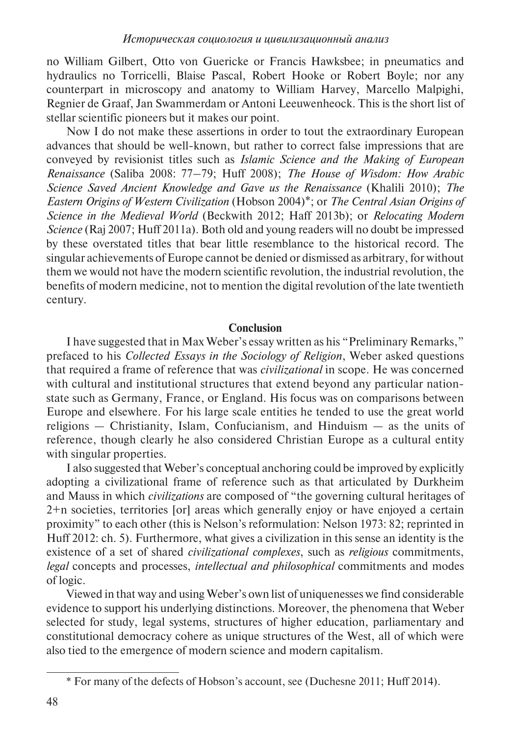no William Gilbert, Otto von Guericke or Francis Hawksbee; in pneumatics and hydraulics no Torricelli, Blaise Pascal, Robert Hooke or Robert Boyle; nor any counterpart in microscopy and anatomy to William Harvey, Marcello Malpighi, Regnier de Graaf, Jan Swammerdam or Antoni Leeuwenheock. This is the short list of stellar scientific pioneers but it makes our point.

Now I do not make these assertions in order to tout the extraordinary European advances that should be well-known, but rather to correct false impressions that are conveyed by revisionist titles such as *Islamic Science and the Making of European Renaissance* (Saliba 2008: 77–79; Huff 2008); *The House of Wisdom: How Arabic Science Saved Ancient Knowledge and Gave us the Renaissance* (Khalili 2010); *The Eastern Origins of Western Civilization* (Hobson 2004)\*; or *The Central Asian Origins of Science in the Medieval World* (Beckwith 2012; Haff 2013b); or *Relocating Modern Science* (Raj 2007; Huff 2011a). Both old and young readers will no doubt be impressed by these overstated titles that bear little resemblance to the historical record. The singular achievements of Europe cannot be denied or dismissed as arbitrary, for without them we would not have the modern scientific revolution, the industrial revolution, the benefits of modern medicine, not to mention the digital revolution of the late twentieth century.

## **Conclusion**

I have suggested that in Max Weber's essay written as his "Preliminary Remarks," prefaced to his *Collected Essays in the Sociology of Religion*, Weber asked questions that required a frame of reference that was *civilizational* in scope. He was concerned with cultural and institutional structures that extend beyond any particular nationstate such as Germany, France, or England. His focus was on comparisons between Europe and elsewhere. For his large scale entities he tended to use the great world religions — Christianity, Islam, Confucianism, and Hinduism — as the units of reference, though clearly he also considered Christian Europe as a cultural entity with singular properties.

I also suggested that Weber's conceptual anchoring could be improved by explicitly adopting a civilizational frame of reference such as that articulated by Durkheim and Mauss in which *civilizations* are composed of "the governing cultural heritages of 2+n societies, territories [or] areas which generally enjoy or have enjoyed a certain proximity" to each other (this is Nelson's reformulation: Nelson 1973: 82; reprinted in Huff 2012: ch. 5). Furthermore, what gives a civilization in this sense an identity is the existence of a set of shared *civilizational complexes*, such as *religious* commitments, *legal* concepts and processes, *intellectual and philosophical* commitments and modes of logic.

Viewed in that way and using Weber's own list of uniquenesses we find considerable evidence to support his underlying distinctions. Moreover, the phenomena that Weber selected for study, legal systems, structures of higher education, parliamentary and constitutional democracy cohere as unique structures of the West, all of which were also tied to the emergence of modern science and modern capitalism.

<sup>\*</sup> For many of the defects of Hobson's account, see (Duchesne 2011; Huff 2014).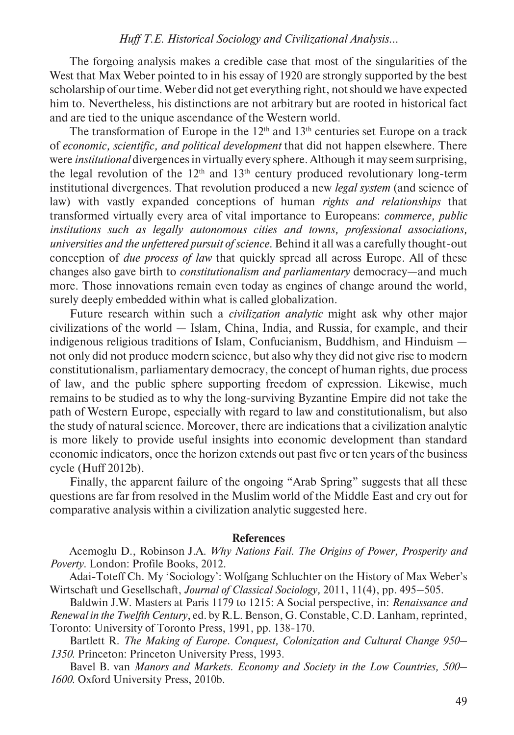The forgoing analysis makes a credible case that most of the singularities of the West that Max Weber pointed to in his essay of 1920 are strongly supported by the best scholarship of our time. Weber did not get everything right, not should we have expected him to. Nevertheless, his distinctions are not arbitrary but are rooted in historical fact and are tied to the unique ascendance of the Western world.

The transformation of Europe in the  $12<sup>th</sup>$  and  $13<sup>th</sup>$  centuries set Europe on a track of *economic, scientific, and political development* that did not happen elsewhere. There were *institutional* divergences in virtually every sphere. Although it may seem surprising, the legal revolution of the  $12<sup>th</sup>$  and  $13<sup>th</sup>$  century produced revolutionary long-term institutional divergences. That revolution produced a new *legal system* (and science of law) with vastly expanded conceptions of human *rights and relationships* that transformed virtually every area of vital importance to Europeans: *commerce, public institutions such as legally autonomous cities and towns, professional associations, universities and the unfettered pursuit of science.* Behind it all was a carefully thought-out conception of *due process of law* that quickly spread all across Europe. All of these changes also gave birth to *constitutionalism and parliamentary* democracy—and much more. Those innovations remain even today as engines of change around the world, surely deeply embedded within what is called globalization.

Future research within such a *civilization analytic* might ask why other major civilizations of the world — Islam, China, India, and Russia, for example, and their indigenous religious traditions of Islam, Confucianism, Buddhism, and Hinduism not only did not produce modern science, but also why they did not give rise to modern constitutionalism, parliamentary democracy, the concept of human rights, due process of law, and the public sphere supporting freedom of expression. Likewise, much remains to be studied as to why the long-surviving Byzantine Empire did not take the path of Western Europe, especially with regard to law and constitutionalism, but also the study of natural science. Moreover, there are indications that a civilization analytic is more likely to provide useful insights into economic development than standard economic indicators, once the horizon extends out past five or ten years of the business cycle (Huff 2012b).

Finally, the apparent failure of the ongoing "Arab Spring" suggests that all these questions are far from resolved in the Muslim world of the Middle East and cry out for comparative analysis within a civilization analytic suggested here.

#### **References**

Acemoglu D., Robinson J.A. *Why Nations Fail. The Origins of Power, Prosperity and Poverty*. London: Profile Books, 2012.

Adai-Toteff Ch. My 'Sociology': Wolfgang Schluchter on the History of Max Weber's Wirtschaft und Gesellschaft, *Journal of Classical Sociology,* 2011, 11(4), pp. 495–505.

Baldwin J.W. Masters at Paris 1179 to 1215: A Social perspective, in: *Renaissance and Renewal in the Twelfth Century*, ed. by R.L. Benson, G. Constable, C.D. Lanham, reprinted, Toronto: University of Toronto Press, 1991, pp. 138-170.

Bartlett R. *The Making of Europe. Conquest, Colonization and Cultural Change 950– 1350*. Princeton: Princeton University Press, 1993.

Bavel B. van *Manors and Markets. Economy and Society in the Low Countries, 500– 1600.* Oxford University Press, 2010b.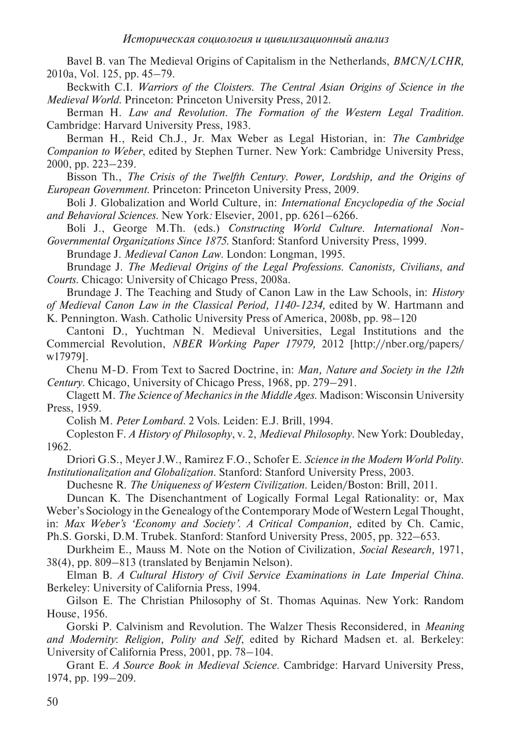Bavel B. van The Medieval Origins of Capitalism in the Netherlands, *BMCN/LCHR,* 2010a, Vol. 125, pp. 45–79.

Beckwith C.I. *Warriors of the Cloisters. The Central Asian Origins of Science in the Medieval World*. Princeton: Princeton University Press, 2012*.* 

Berman H. *Law and Revolution. The Formation of the Western Legal Tradition*. Cambridge: Harvard University Press, 1983.

Berman H., Reid Ch.J., Jr. Max Weber as Legal Historian, in: *The Cambridge Companion to Weber*, edited by Stephen Turner. New York: Cambridge University Press, 2000, pp. 223–239.

Bisson Th., *The Crisis of the Twelfth Century*. *Power, Lordship, and the Origins of European Government*. Princeton: Princeton University Press, 2009.

Boli J. Globalization and World Culture, in: *International Encyclopedia of the Social and Behavioral Sciences*. New York*:* Elsevier, 2001, pp. 6261–6266.

Boli J., George M.Th. (eds.) *Constructing World Culture. International Non-Governmental Organizations Since 1875*. Stanford: Stanford University Press, 1999.

Brundage J. *Medieval Canon Law*. London: Longman, 1995.

Brundage J. *The Medieval Origins of the Legal Professions. Canonists, Civilians, and Courts*. Chicago: University of Chicago Press, 2008a.

Brundage J. The Teaching and Study of Canon Law in the Law Schools, in: *History of Medieval Canon Law in the Classical Period, 1140-1234,* edited by W. Hartmann and K. Pennington. Wash. Catholic University Press of America, 2008b, pp. 98–120

Cantoni D., Yuchtman N. Medieval Universities, Legal Institutions and the Commercial Revolution, *NBER Working Paper 17979,* 2012 [http://nber.org/papers/

w17979].

Chenu M-D. From Text to Sacred Doctrine, in: *Man, Nature and Society in the 12th Century*. Chicago, University of Chicago Press, 1968, pp. 279–291.

Clagett M. *The Science of Mechanics in the Middle Ages*. Madison: Wisconsin University Press, 1959*.*

Colish M. *Peter Lombard.* 2 Vols. Leiden: E.J. Brill, 1994.

Copleston F. *A History of Philosophy*, v. 2, *Medieval Philosophy*. New York: Doubleday, 1962.

Driori G.S., Meyer J.W., Ramirez F.O., Schofer E. *Science in the Modern World Polity. Institutionalization and Globalization*. Stanford: Stanford University Press, 2003.

Duchesne R. *The Uniqueness of Western Civilization*. Leiden/Boston: Brill, 2011.

Duncan K. The Disenchantment of Logically Formal Legal Rationality: or, Max

Weber's Sociology in the Genealogy of the Contemporary Mode of Western Legal Thought,

in: *Max Weber's 'Economy and Society'. A Critical Companion,* edited by Ch. Camic,

Ph.S. Gorski, D.M. Trubek. Stanford: Stanford University Press, 2005, pp. 322–653.

Durkheim E., Mauss M. Note on the Notion of Civilization, *Social Research,* 1971, 38(4), pp. 809–813 (translated by Benjamin Nelson).

Elman B. *A Cultural History of Civil Service Examinations in Late Imperial China.*  Berkeley: University of California Press, 1994.

Gilson E. The Christian Philosophy of St. Thomas Aquinas. New York: Random House, 1956.

Gorski P. Calvinism and Revolution. The Walzer Thesis Reconsidered, in *Meaning and Modernity*: *Religion, Polity and Self*, edited by Richard Madsen et. al. Berkeley: University of California Press, 2001, pp. 78–104.

Grant E. *A Source Book in Medieval Science.* Cambridge: Harvard University Press, 1974, pp. 199–209.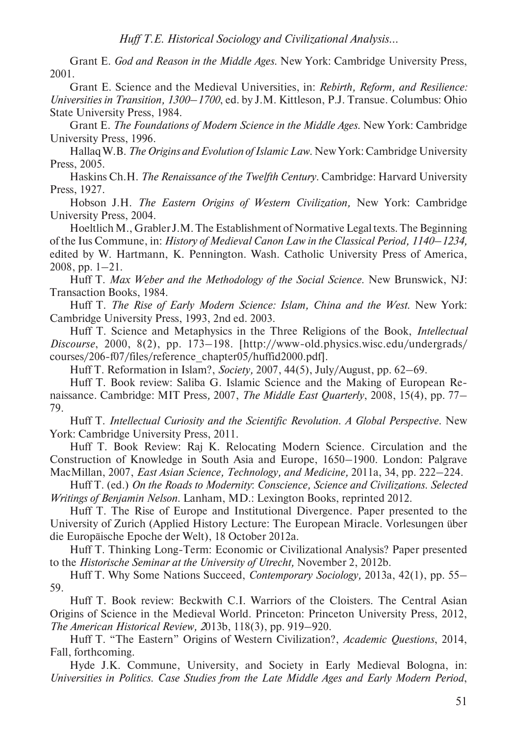Grant E. *God and Reason in the Middle Ages*. New York: Cambridge University Press, 2001.

Grant E. Science and the Medieval Universities, in: *Rebirth, Reform, and Resilience: Universities in Transition, 1300–1700*, ed. by J.M. Kittleson, P.J. Transue. Columbus: Ohio State University Press, 1984.

Grant E. *The Foundations of Modern Science in the Middle Ages*. New York: Cambridge University Press, 1996.

Hallaq W.B. *The Origins and Evolution of Islamic Law*. New York: Cambridge University Press, 2005.

Haskins Ch.H. *The Renaissance of the Twelfth Century*. Cambridge: Harvard University Press, 1927.

Hobson J.H. *The Eastern Origins of Western Civilization,* New York: Cambridge University Press, 2004.

Hoeltlich M., Grabler J.M. The Establishment of Normative Legal texts. The Beginning of the Ius Commune, in: *History of Medieval Canon Law in the Classical Period, 1140–1234,* edited by W. Hartmann, K. Pennington. Wash. Catholic University Press of America, 2008, pp. 1–21.

Huff T. *Max Weber and the Methodology of the Social Science*. New Brunswick, NJ: Transaction Books, 1984.

Huff T. *The Rise of Early Modern Science: Islam, China and the West*. New York: Cambridge University Press, 1993, 2nd ed. 2003.

Huff T. Science and Metaphysics in the Three Religions of the Book, *Intellectual Discourse*, 2000, 8(2), pp. 173–198. [http://www-old.physics.wisc.edu/undergrads/ courses/206-f07/files/reference\_chapter05/huffid2000.pdf].

Huff T. Reformation in Islam?, *Society,* 2007, 44(5), July/August, pp. 62–69.

Huff T. Book review: Saliba G. Islamic Science and the Making of European Renaissance. Cambridge: MIT Press*,* 2007, *The Middle East Quarterly*, 2008, 15(4), pp. 77– 79.

Huff T. *Intellectual Curiosity and the Scientific Revolution. A Global Perspective.* New York: Cambridge University Press, 2011.

Huff T. Book Review: Raj K. Relocating Modern Science. Circulation and the Construction of Knowledge in South Asia and Europe, 1650–1900. London: Palgrave MacMillan, 2007, *East Asian Science, Technology, and Medicine,* 2011a, 34, pp. 222–224.

Huff T. (ed.) *On the Roads to Modernity*: *Conscience, Science and Civilizations*. *Selected Writings of Benjamin Nelson*. Lanham, MD.: Lexington Books, reprinted 2012.

Huff T. The Rise of Europe and Institutional Divergence. Paper presented to the University of Zurich (Applied History Lecture: The European Miracle. Vorlesungen über die Europäische Epoche der Welt), 18 October 2012a.

Huff T. Thinking Long-Term: Economic or Civilizational Analysis? Paper presented to the *Historische Seminar at the University of Utrecht,* November 2, 2012b.

Huff T. Why Some Nations Succeed, *Contemporary Sociology,* 2013a, 42(1), pp. 55– 59.

Huff T. Book review: Beckwith C.I. Warriors of the Cloisters. The Central Asian Origins of Science in the Medieval World. Princeton: Princeton University Press, 2012, *The American Historical Review, 2*013b, 118(3), pp. 919–920.

Huff T. "The Eastern" Origins of Western Civilization?, *Academic Questions*, 2014, Fall, forthcoming.

Hyde J.K. Commune, University, and Society in Early Medieval Bologna, in: *Universities in Politics. Case Studies from the Late Middle Ages and Early Modern Period*,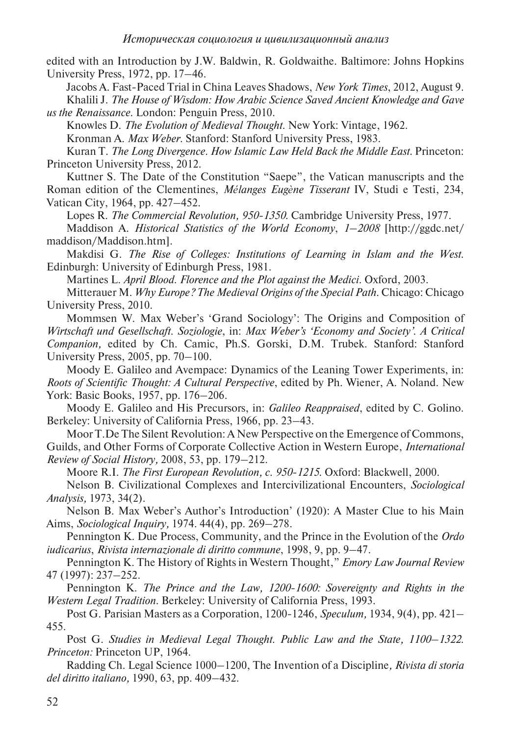edited with an Introduction by J.W. Baldwin, R. Goldwaithe*.* Baltimore: Johns Hopkins University Press, 1972, pp. 17–46.

Jacobs A. Fast-Paced Trial in China Leaves Shadows, *New York Times*, 2012, August 9.

Khalili J. *The House of Wisdom: How Arabic Science Saved Ancient Knowledge and Gave us the Renaissance*. London: Penguin Press, 2010.

Knowles D. *The Evolution of Medieval Thought*. New York: Vintage, 1962.

Kronman A. *Max Weber*. Stanford: Stanford University Press, 1983.

Kuran T. *The Long Divergence. How Islamic Law Held Back the Middle East*. Princeton: Princeton University Press, 2012.

Kuttner S. The Date of the Constitution "Saepe", the Vatican manuscripts and the Roman edition of the Clementines, *Mélanges Eugène Tisserant* IV, Studi e Testi, 234, Vatican City, 1964, pp. 427–452.

Lopes R. *The Commercial Revolution, 950-1350.* Cambridge University Press, 1977.

Maddison A. *Historical Statistics of the World Economy*, *1–2008* [http://ggdc.net/ maddison/Maddison.htm].

Makdisi G. *The Rise of Colleges: Institutions of Learning in Islam and the West*. Edinburgh: University of Edinburgh Press, 1981.

Martines L. *April Blood. Florence and the Plot against the Medici*. Oxford, 2003.

Mitterauer M. *Why Europe? The Medieval Origins of the Special Path*. Chicago: Chicago University Press, 2010.

Mommsen W. Max Weber's 'Grand Sociology': The Origins and Composition of *Wirtschaft und Gesellschaft. Soziologie*, in: *Max Weber's 'Economy and Society'. A Critical Companion,* edited by Ch. Camic, Ph.S. Gorski, D.M. Trubek. Stanford: Stanford University Press, 2005, pp. 70–100.

Moody E. Galileo and Avempace: Dynamics of the Leaning Tower Experiments, in: *Roots of Scientific Thought: A Cultural Perspective*, edited by Ph. Wiener, A. Noland. New York: Basic Books, 1957, pp. 176–206.

Moody E. Galileo and His Precursors, in: *Galileo Reappraised*, edited by C. Golino. Berkeley: University of California Press, 1966, pp. 23–43.

Moor T.De The Silent Revolution: A New Perspective on the Emergence of Commons,

Guilds, and Other Forms of Corporate Collective Action in Western Europe, *International Review of Social History,* 2008, 53, pp. 179–212.

Moore R.I. *The First European Revolution, c. 950-1215*. Oxford: Blackwell, 2000.

Nelson B. Civilizational Complexes and Intercivilizational Encounters, *Sociological Analysis,* 1973, 34(2).

Nelson B. Max Weber's Author's Introduction' (1920): A Master Clue to his Main Aims, *Sociological Inquiry,* 1974. 44(4), pp. 269–278.

Pennington K. Due Process, Community, and the Prince in the Evolution of the *Ordo iudicarius*, *Rivista internazionale di diritto commune*, 1998, 9, pp. 9–47.

Pennington K. The History of Rights in Western Thought," *Emory Law Journal Review* 47 (1997): 237–252.

Pennington K. *The Prince and the Law, 1200-1600: Sovereignty and Rights in the Western Legal Tradition*. Berkeley: University of California Press, 1993.

Post G. Parisian Masters as a Corporation, 1200-1246, *Speculum,* 1934, 9(4), pp. 421– 455.

Post G. *Studies in Medieval Legal Thought. Public Law and the State, 1100–1322. Princeton:* Princeton UP, 1964.

Radding Ch. Legal Science 1000–1200, The Invention of a Discipline*, Rivista di storia del diritto italiano,* 1990, 63, pp. 409–432.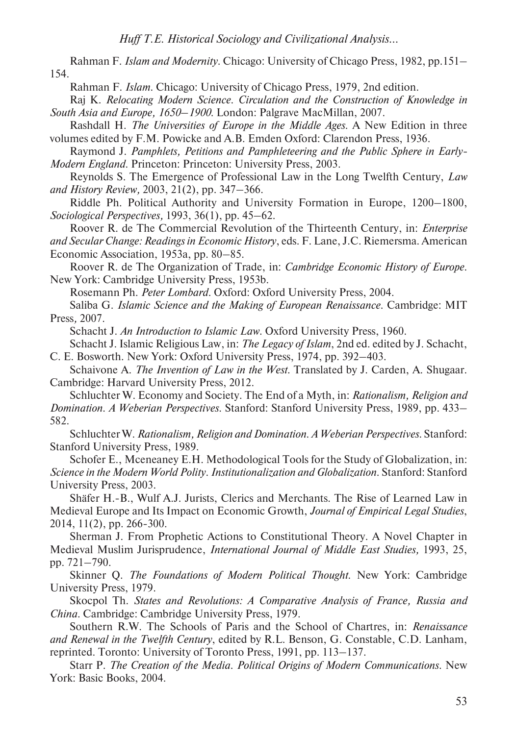Rahman F. *Islam and Modernity*. Chicago: University of Chicago Press, 1982, pp.151– 154.

Rahman F. *Islam*. Chicago: University of Chicago Press, 1979, 2nd edition.

Raj K. *Relocating Modern Science. Circulation and the Construction of Knowledge in South Asia and Europe, 1650–1900*. London: Palgrave MacMillan, 2007.

Rashdall H. *The Universities of Europe in the Middle Ages*. A New Edition in three volumes edited by F.M. Powicke and A.B. Emden Oxford: Clarendon Press, 1936.

Raymond J. *Pamphlets, Petitions and Pamphleteering and the Public Sphere in Early-Modern England*. Princeton: Princeton: University Press, 2003.

Reynolds S. The Emergence of Professional Law in the Long Twelfth Century, *Law and History Review,* 2003, 21(2), pp. 347–366.

Riddle Ph. Political Authority and University Formation in Europe, 1200–1800, *Sociological Perspectives,* 1993, 36(1), pp. 45–62.

Roover R. de The Commercial Revolution of the Thirteenth Century, in: *Enterprise* 

*and Secular Change: Readings in Economic History*, eds. F. Lane, J.C. Riemersma. American Economic Association, 1953a, pp. 80–85.

Roover R. de The Organization of Trade, in: *Cambridge Economic History of Europe*. New York: Cambridge University Press, 1953b.

Rosemann Ph. *Peter Lombard*. Oxford: Oxford University Press, 2004.

Saliba G. *Islamic Science and the Making of European Renaissance.* Cambridge: MIT Press*,* 2007.

Schacht J. *An Introduction to Islamic Law*. Oxford University Press, 1960.

Schacht J. Islamic Religious Law, in: *The Legacy of Islam*, 2nd ed. edited by J. Schacht, C. E. Bosworth. New York: Oxford University Press, 1974, pp. 392–403.

Schaivone A. *The Invention of Law in the West*. Translated by J. Carden, A. Shugaar. Cambridge: Harvard University Press, 2012.

Schluchter W. Economy and Society. The End of a Myth, in: *Rationalism, Religion and Domination. A Weberian Perspectives*. Stanford: Stanford University Press, 1989, pp. 433– 582.

Schluchter W. *Rationalism, Religion and Domination. A Weberian Perspectives.* Stanford: Stanford University Press, 1989.

Schofer E., Mceneaney E.H. Methodological Tools for the Study of Globalization, in: *Science in the Modern World Polity. Institutionalization and Globalization.* Stanford: Stanford University Press, 2003.

Shäfer H.-B., Wulf A.J. Jurists, Clerics and Merchants. The Rise of Learned Law in Medieval Europe and Its Impact on Economic Growth, *Journal of Empirical Legal Studies*, 2014, 11(2), pp. 266-300.

Sherman J. From Prophetic Actions to Constitutional Theory. A Novel Chapter in Medieval Muslim Jurisprudence, *International Journal of Middle East Studies,* 1993, 25, pp. 721–790.

Skinner Q. *The Foundations of Modern Political Thought.* New York: Cambridge University Press, 1979.

Skocpol Th. *States and Revolutions: A Comparative Analysis of France, Russia and China*. Cambridge: Cambridge University Press, 1979.

Southern R.W. The Schools of Paris and the School of Chartres, in: *Renaissance and Renewal in the Twelfth Century*, edited by R.L. Benson, G. Constable, C.D. Lanham, reprinted. Toronto: University of Toronto Press, 1991, pp. 113–137.

Starr P. *The Creation of the Media. Political Origins of Modern Communications.* New York: Basic Books, 2004.